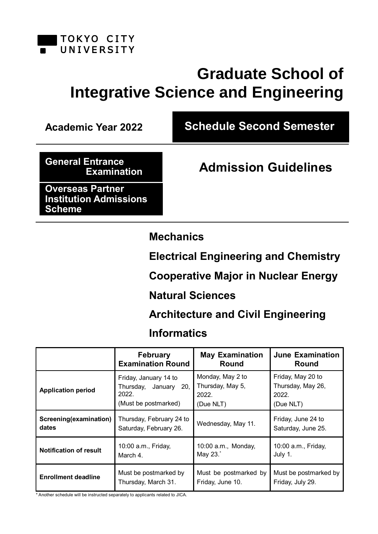

# **Graduate School of Integrative Science and Engineering**

**Academic Year 2022 Schedule Second Semester**

**General Entrance** 

**Examination Admission Guidelines**

**Overseas Partner Institution Admissions Scheme**

**Mechanics**

**Electrical Engineering and Chemistry**

**Cooperative Major in Nuclear Energy**

# **Natural Sciences**

**Architecture and Civil Engineering**

# **Informatics**

|                               | <b>February</b>                                                                    | <b>May Examination</b>                                     | <b>June Examination</b>                                      |
|-------------------------------|------------------------------------------------------------------------------------|------------------------------------------------------------|--------------------------------------------------------------|
|                               | <b>Examination Round</b>                                                           | Round                                                      | Round                                                        |
| <b>Application period</b>     | Friday, January 14 to<br>Thursday,<br>January 20,<br>2022.<br>(Must be postmarked) | Monday, May 2 to<br>Thursday, May 5,<br>2022.<br>(Due NLT) | Friday, May 20 to<br>Thursday, May 26,<br>2022.<br>(Due NLT) |
| Screening(examination)        | Thursday, February 24 to                                                           | Wednesday, May 11.                                         | Friday, June 24 to                                           |
| dates                         | Saturday, February 26.                                                             |                                                            | Saturday, June 25.                                           |
| <b>Notification of result</b> | 10:00 a.m., Friday,                                                                | 10:00 a.m., Monday,                                        | 10:00 a.m., Friday,                                          |
|                               | March 4.                                                                           | May 23.*                                                   | July 1.                                                      |
| <b>Enrollment deadline</b>    | Must be postmarked by                                                              | Must be postmarked by                                      | Must be postmarked by                                        |
|                               | Thursday, March 31.                                                                | Friday, June 10.                                           | Friday, July 29.                                             |

\* Another schedule will be instructed separately to applicants related to JICA.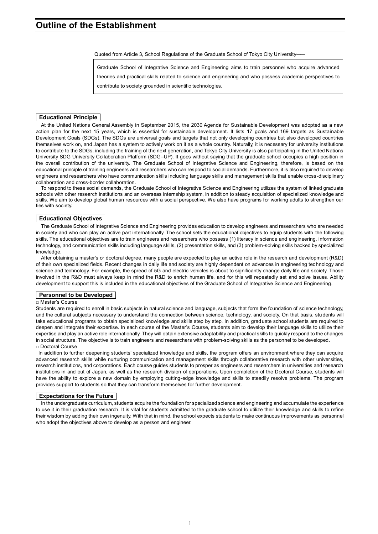Quoted from Article 3, School Regulations of the Graduate School of Tokyo City University――

Graduate School of Integrative Science and Engineering aims to train personnel who acquire advanced theories and practical skills related to science and engineering and who possess academic perspectives to contribute to society grounded in scientific technologies.

#### **Educational Principle**

At the United Nations General Assembly in September 2015, the 2030 Agenda for Sustainable Development was adopted as a new action plan for the next 15 years, which is essential for sustainable development. It lists 17 goals and 169 targets as Sustainable Development Goals (SDGs). The SDGs are universal goals and targets that not only developing countries but also developed countries themselves work on, and Japan has a system to actively work on it as a whole country. Naturally, it is necessary for university institutions to contribute to the SDGs, including the training of the next generation, and Tokyo City University is also participating in the United Nations University SDG University Collaboration Platform (SDG–UP). It goes without saying that the graduate school occupies a high position in the overall contribution of the university. The Graduate School of Integrative Science and Engineering, therefore, is based on the educational principle of training engineers and researchers who can respond to social demands. Furthermore, it is also required to develop engineers and researchers who have communication skills including language skills and management skills that enable cross-disciplinary collaboration and cross-border collaboration.

To respond to these social demands, the Graduate School of Integrative Science and Engineering utilizes the system of linked graduate schools with other research institutions and an overseas internship system, in addition to steady acquisition of specialized knowledge and skills. We aim to develop global human resources with a social perspective. We also have programs for working adults to strengthen our ties with society.

#### **Educational Objectives**

The Graduate School of Integrative Science and Engineering provides education to develop engineers and researchers who are needed in society and who can play an active part internationally. The school sets the educational objectives to equip students with the following skills. The educational objectives are to train engineers and researchers who possess (1) literacy in science and engineering, information technology, and communication skills including language skills, (2) presentation skills, and (3) problem-solving skills backed by specialized knowledge.

After obtaining a master's or doctoral degree, many people are expected to play an active role in the research and development (R&D) of their own specialized fields. Recent changes in daily life and society are highly dependent on advances in engineering technology and science and technology. For example, the spread of 5G and electric vehicles is about to significantly change daily life and society. Those involved in the R&D must always keep in mind the R&D to enrich human life, and for this will repeatedly set and solve issues. Ability development to support this is included in the educational objectives of the Graduate School of Integrative Science and Engineering.

#### **Personnel to be Developed**

#### □ Master's Course

Students are required to enroll in basic subjects in natural science and language, subjects that form the foundation of science technology, and the cultural subjects necessary to understand the connection between science, technology, and society. On that basis, students will take educational programs to obtain specialized knowledge and skills step by step. In addition, graduate school students are required to deepen and integrate their expertise. In each course of the Master's Course, students aim to develop their language skills to utilize their expertise and play an active role internationally. They will obtain extensive adaptability and practical skills to quickly respond to the changes in social structure. The objective is to train engineers and researchers with problem-solving skills as the personnel to be developed. □ Doctoral Course

In addition to further deepening students' specialized knowledge and skills, the program offers an environment where they can acquire advanced research skills while nurturing communication and management skills through collaborative research with other universities, research institutions, and corporations. Each course guides students to prosper as engineers and researchers in universities and research institutions in and out of Japan, as well as the research division of corporations. Upon completion of the Doctoral Course, s tudents will have the ability to explore a new domain by employing cutting-edge knowledge and skills to steadily resolve problems. The program provides support to students so that they can transform themselves for further development.

#### **Expectations for the Future**

In the undergraduate curriculum, students acquire the foundation for specialized science and engineering and accumulate the experience to use it in their graduation research. It is vital for students admitted to the graduate school to utilize their knowledge and skills to refine their wisdom by adding their own ingenuity. With that in mind, the school expects students to make continuous improvements as personnel who adopt the objectives above to develop as a person and engineer.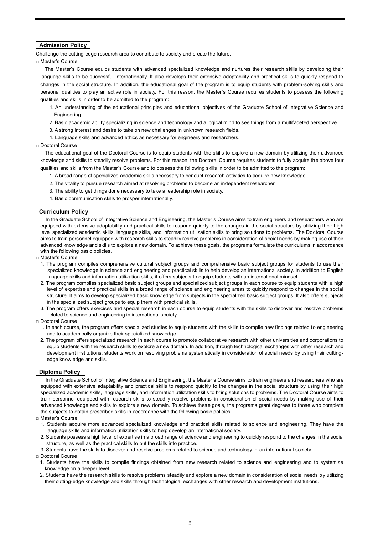#### **Admission Policy**

Challenge the cutting-edge research area to contribute to society and create the future.

□ Master's Course

The Master's Course equips students with advanced specialized knowledge and nurtures their research skills by developing their language skills to be successful internationally. It also develops their extensive adaptability and practical skills to quickly respond to changes in the social structure. In addition, the educational goal of the program is to equip students with problem-solving skills and personal qualities to play an active role in society. For this reason, the Master's Course requires students to possess the following qualities and skills in order to be admitted to the program:

1. An understanding of the educational principles and educational objectives of the Graduate School of Integrative Science and Engineering.

2. Basic academic ability specializing in science and technology and a logical mind to see things from a multifaceted perspective.

- 3. A strong interest and desire to take on new challenges in unknown research fields.
- 4. Language skills and advanced ethics as necessary for engineers and researchers.

#### □ Doctoral Course

The educational goal of the Doctoral Course is to equip students with the skills to explore a new domain by utilizing their advanced knowledge and skills to steadily resolve problems. For this reason, the Doctoral Course requires students to fully acquire the above four qualities and skills from the Master's Course and to possess the following skills in order to be admitted to the program:

1. A broad range of specialized academic skills necessary to conduct research activities to acquire new knowledge.

- 2. The vitality to pursue research aimed at resolving problems to become an independent researcher.
- 3. The ability to get things done necessary to take a leadership role in society.
- 4. Basic communication skills to prosper internationally.

#### **Curriculum Policy**

In the Graduate School of Integrative Science and Engineering, the Master's Course aims to train engineers and researchers who are equipped with extensive adaptability and practical skills to respond quickly to the changes in the social structure by utilizing their high level specialized academic skills, language skills, and information utilization skills to bring solutions to problems. The Doctoral Course aims to train personnel equipped with research skills to steadily resolve problems in consideration of social needs by making use of their advanced knowledge and skills to explore a new domain. To achieve these goals, the programs formulate the curriculums in accordance with the following basic policies.

- □ Master's Course
	- 1. The program compiles comprehensive cultural subject groups and comprehensive basic subject groups for students to use their specialized knowledge in science and engineering and practical skills to help develop an international society. In addition to English language skills and information utilization skills, it offers subjects to equip students with an international mindset.
	- 2. The program compiles specialized basic subject groups and specialized subject groups in each course to equip students with a high level of expertise and practical skills in a broad range of science and engineering areas to quickly respond to changes in the social structure. It aims to develop specialized basic knowledge from subjects in the specialized basic subject groups. It also offers subjects in the specialized subject groups to equip them with practical skills.
	- 3. The program offers exercises and special research in each course to equip students with the skills to discover and resolve problems related to science and engineering in international society.
- □ Doctoral Course
- 1. In each course, the program offers specialized studies to equip students with the skills to compile new findings related to engineering and to academically organize their specialized knowledge.
- 2. The program offers specialized research in each course to promote collaborative research with other universities and corporations to equip students with the research skills to explore a new domain. In addition, through technological exchanges with other research and development institutions, students work on resolving problems systematically in consideration of social needs by using their cuttingedge knowledge and skills.

#### **Diploma Policy**

In the Graduate School of Integrative Science and Engineering, the Master's Course aims to train engineers and researchers who are equipped with extensive adaptability and practical skills to respond quickly to the changes in the social structure by using their high specialized academic skills, language skills, and information utilization skills to bring solutions to problems. The Doctoral Course aims to train personnel equipped with research skills to steadily resolve problems in consideration of social needs by making use of their advanced knowledge and skills to explore a new domain. To achieve these goals, the programs grant degrees to those who complete the subjects to obtain prescribed skills in accordance with the following basic policies.

- □ Master's Course
	- 1. Students acquire more advanced specialized knowledge and practical skills related to science and engineering. They have the language skills and information utilization skills to help develop an international society.
- 2. Students possess a high level of expertise in a broad range of science and engineering to quickly respond to the changes in the social structure, as well as the practical skills to put the skills into practice.
- 3. Students have the skills to discover and resolve problems related to science and technology in an international society.
- □ Doctoral Course
- 1. Students have the skills to compile findings obtained from new research related to science and engineering and to systemize knowledge on a deeper level.
- 2. Students have the research skills to resolve problems steadily and explore a new domain in consideration of social needs by utilizing their cutting-edge knowledge and skills through technological exchanges with other research and development institutions.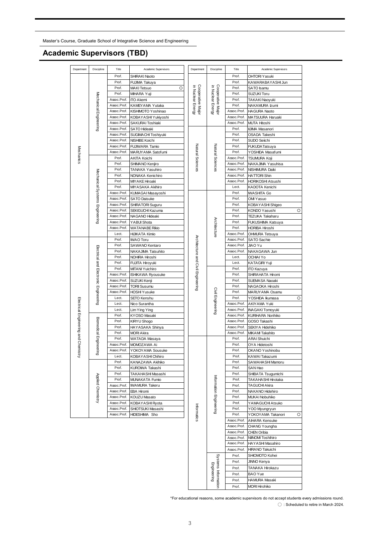Master's Course, Graduate School of Integrative Science and Engineering

### **Academic Supervisors (TBD)**

| Department                      | Discipline                            | Title                      | Academic Supervisors                      | Department                             | Discipline                                              | Title                               | Academic Supervisors                            |                   |
|---------------------------------|---------------------------------------|----------------------------|-------------------------------------------|----------------------------------------|---------------------------------------------------------|-------------------------------------|-------------------------------------------------|-------------------|
|                                 |                                       | Prof.                      | SHIRAKI Naoto                             |                                        |                                                         | Prof.                               | <b>OHTORI Yasuki</b>                            |                   |
|                                 |                                       | Prof.                      | FUJIMA Takuya                             |                                        |                                                         | Prof.                               | KAWARABAYASHI Jun                               |                   |
|                                 |                                       | Prof.                      | O<br><b>MAKI</b> Tetsuo                   |                                        |                                                         | Prof.                               | SATO Isamu                                      |                   |
|                                 |                                       | Prof.                      | MIHARA Yuji                               |                                        |                                                         | Prof.                               | SUZUKI Toru                                     |                   |
|                                 |                                       | Assoc.Prof.                | <b>ITO Akemi</b>                          |                                        |                                                         | Prof.                               | TAKAKI Naoyuki                                  |                   |
|                                 | Mechanical Engineering                | Assoc.Prof.<br>Assoc.Prof. | KAMEYAMA Yutaka                           | Cooperative Major<br>in Nuclear Energy | Cooperative Major<br>in Nuclear Energy                  | Prof.<br>Assoc.Prof.                | NAKAMURA Izumi                                  |                   |
|                                 |                                       | Assoc.Prof.                | KISHIMOTO Yoshinao<br>KOBAYASHI Yukiyoshi |                                        |                                                         | Assoc.Prof.                         | <b>HAGURA Naoto</b><br>MATSUURA Haruaki         |                   |
|                                 |                                       | Assoc.Prof.                | SAKURAI Toshiaki                          |                                        |                                                         | Assoc.Prof.                         | <b>MUTA Hitoshi</b>                             |                   |
|                                 |                                       | Assoc.Prof.                | <b>SATO Hideaki</b>                       |                                        |                                                         | Prof.                               | <b>IIJIMA Masanori</b>                          |                   |
|                                 |                                       | Assoc.Prof.                | SUGIMACHI Toshiyuki                       |                                        |                                                         | Prof.                               | OSADA Takeshi                                   |                   |
|                                 |                                       | Assoc.Prof.                | NISHIBE Koichi                            |                                        |                                                         | Prof.                               | SUDO Seiichi                                    |                   |
|                                 |                                       | Assoc.Prof.                | FUJIWARA Tamio                            |                                        |                                                         | Prof.                               | <b>FUKUDA Tatsuya</b>                           |                   |
| Mechanics                       |                                       | Assoc.Prof.                | MARUYAMA Satofumi                         |                                        |                                                         | Prof.                               | YOSHIDA Masafumi                                |                   |
|                                 |                                       | Prof.                      | AKITA Koichi                              |                                        |                                                         | Assoc.Prof.                         | <b>TSUMURA Koji</b>                             |                   |
|                                 |                                       | Prof.                      | SHIMANO Kenjiro                           | Natural Sciences                       | Natural Sciences                                        | Assoc.Prof.                         | NAKAJIMA Yasuhisa                               |                   |
|                                 |                                       | Prof.<br>Prof.             | TANAKA Yasuhiro                           |                                        |                                                         | Assoc.Prof.<br>Assoc.Prof.          | NISHIMURA Daiki                                 |                   |
|                                 |                                       | Prof.                      | NONAKA Kenichiro<br><b>MIYAKE Hiroaki</b> |                                        |                                                         | Assoc.Prof.                         | <b>HATTORI Shin</b><br><b>HORIKOSHI Atsushi</b> |                   |
|                                 |                                       | Prof.                      | MIYASAKA Akihiro                          |                                        |                                                         | Lect.                               | KADOTA Kenichi                                  |                   |
|                                 |                                       | Assoc.Prof.                | KUMA GAI Masayoshi                        |                                        |                                                         | Prof.                               | <b>IWASHITA Go</b>                              |                   |
|                                 |                                       | Assoc.Prof.                | <b>SATO Daisuke</b>                       |                                        |                                                         | Prof.                               | OMI Yasuo                                       |                   |
|                                 |                                       | Assoc.Prof.                | SHIRATORI Suguru                          |                                        |                                                         | Prof.                               | KOBAY ASHI Shigeo                               |                   |
|                                 | Mechanical Systems Engineering        | Assoc.Prof.                | SEKIGUCHI Kazuma                          |                                        |                                                         | Prof.                               | KONDO Yasushi<br>O                              |                   |
|                                 |                                       | Assoc.Prof.                | NAGANO Hideaki                            |                                        |                                                         | Prof.                               | TEZUKA Takaharu                                 |                   |
|                                 |                                       | Assoc.Prof.                | YABUI Shota                               |                                        |                                                         | Prof.                               | FUKUSHIMA Katsuya                               |                   |
|                                 |                                       | Assoc.Prof.                | <b>WATANABE Rikio</b>                     |                                        | Architecture                                            | Prof.                               | HORIBA Hiroshi                                  |                   |
|                                 |                                       | Lect.<br>Prof.             | HIJIKATA Kimio<br><b>IWAO</b> Toru        |                                        |                                                         | Assoc.Prof.<br>Assoc.Prof.          | OHMURA Tetsuya<br><b>SATO Sachie</b>            |                   |
|                                 |                                       | Prof.                      | SAWANO Kentaro                            |                                        |                                                         | Assoc.Prof.                         | JIAO Yu                                         |                   |
|                                 |                                       | Prof.                      | NAKAJIMA Tatsuhito                        |                                        |                                                         | Assoc.Prof.                         | NAKAGAWA Jun                                    |                   |
|                                 |                                       | Prof.                      | NOHIRA Hiroshi                            |                                        | Architecture and Civil Engineering<br>Civil Engineering | Lect.                               | <b>OCHIAIYo</b>                                 |                   |
|                                 | Electrical and Electronic Engineering | Prof.                      | FUJITA Hiroyuki                           |                                        |                                                         | Lect.                               | KATAGIRI Yuji                                   |                   |
|                                 |                                       | Prof.                      | MITANI Yuichiro                           |                                        |                                                         | Prof.                               | ITO Kazuya                                      |                   |
|                                 |                                       | Assoc.Prof.                | <b>ISHIKAWA Ryousuke</b>                  |                                        |                                                         | Prof.                               | SHIRAHATA Hiromi                                |                   |
|                                 |                                       | Assoc.Prof.                | SUZUKI Kenji                              |                                        |                                                         | Prof.                               | SUEMASA Naoaki                                  |                   |
|                                 |                                       | Assoc.Prof.                | <b>TORII Susumu</b>                       |                                        |                                                         | Prof.                               | NAGAOKA Hiroshi                                 |                   |
|                                 |                                       | Assoc.Prof.                | <b>HOSHI Yusuke</b>                       |                                        |                                                         | Prof.                               | MARUYAMA Osamu                                  |                   |
|                                 |                                       | Lect.<br>Lect.             | SETO Kenshu                               |                                        |                                                         | Prof.<br>Assoc.Prof.                | YOSHIDA Ikumasa<br>O<br>AKIYAMA Yuki            |                   |
|                                 |                                       | Lect.                      | Nico Surantha<br>Lim Ying Ying            |                                        |                                                         | Assoc.Prof.                         | <b>INAGAKI Tomoyuki</b>                         |                   |
| Electrical Engineering and Chen |                                       | Prof.                      | KYOSO Masaki                              |                                        |                                                         |                                     | Assoc.Prof.                                     | KURIHARA Norihiko |
|                                 | Biomedical Enginee                    | Prof.                      | KIRYU Shogo                               |                                        |                                                         | Assoc.Prof.                         | GOSO Takashi                                    |                   |
|                                 |                                       | Prof.                      | HAYASAKA Shinya                           |                                        |                                                         | Assoc.Prof.                         | <b>SEKIYA Hidehiko</b>                          |                   |
|                                 |                                       | Prof.                      | <b>MORI Akira</b>                         |                                        |                                                         | Assoc.Prof.                         | MIKAMI Takahito                                 |                   |
|                                 |                                       | Prof.                      | WATADA Masaya                             |                                        |                                                         | Prof.                               | ARAI Shuichi                                    |                   |
|                                 |                                       | Assoc.Prof.                | MOMOZAWA Ai                               |                                        |                                                         | Prof.                               | OYA Hidetoshi                                   |                   |
| jistry                          | Ē.                                    | Assoc.Prof.                | YOKOYAMA Sousuke                          |                                        |                                                         | Prof.                               | OKANO Yoshinobu                                 |                   |
|                                 |                                       | Lect.<br>Prof.             | KOBAYASHI Chihiro                         |                                        |                                                         | Prof.<br>Prof.                      | KAWAI Takazumi<br>SAWAHASHI Mamoru              |                   |
|                                 |                                       | Prof.                      | KANAZAWA Akihiko<br>KUROMA Takashi        |                                        |                                                         | Prof.                               | SAN Hao                                         |                   |
|                                 |                                       | Prof.                      | TAKAHASHI Masashi                         |                                        |                                                         | Prof.                               | SHIBATA Tsugumichi                              |                   |
|                                 | Applied Chemistry                     | Prof.                      | MUNAKATA Fumio                            |                                        |                                                         | Prof.                               | TAKAHASHI Hirotaka                              |                   |
|                                 |                                       | Assoc.Prof.                | <b>IWAMURA Takeru</b>                     |                                        |                                                         | Prof.                               | <b>TAGUCHI Akira</b>                            |                   |
|                                 |                                       | Assoc.Prof.                | EBA Hiromi                                |                                        |                                                         | Prof.                               | NAKANO Hidehiro                                 |                   |
|                                 |                                       | Assoc.Prof.                | KOUZU Masato                              |                                        | Information Engineering                                 | Prof.                               | MUKAI Nobuhiko                                  |                   |
|                                 |                                       | Assoc.Prof.                | KOBAYASHI Ryota                           |                                        |                                                         | Prof.                               | YAMA GUCHI Atsuko                               |                   |
|                                 |                                       | Assoc.Prof.                | SHIOTSUKI Masashi                         | Informatics                            |                                                         | Prof.                               | YOO Myungryun                                   |                   |
|                                 |                                       | Assoc.Prof.                | HIDESHIMA Sho                             |                                        |                                                         | Prof.                               | YOKOYAMA Takanori<br>O                          |                   |
|                                 |                                       |                            |                                           |                                        |                                                         | Assoc.Prof.<br>Assoc.Prof.          | AIHARA Kensuke                                  |                   |
|                                 |                                       |                            |                                           |                                        | Assoc.Prof.                                             | CHANG Youngha<br><b>CHEN Oribia</b> |                                                 |                   |
|                                 |                                       |                            |                                           |                                        | Assoc.Prof.                                             | NIINOMI Toshihiro                   |                                                 |                   |
|                                 |                                       |                            |                                           |                                        |                                                         | Assoc.Prof.                         | HAYASHI Masahiro                                |                   |
|                                 |                                       |                            |                                           |                                        |                                                         | Assoc.Prof.                         | HIRANO Takuichi                                 |                   |
|                                 |                                       |                            |                                           |                                        |                                                         | Prof.                               | SHIOMOTO Kohei                                  |                   |
|                                 |                                       |                            |                                           |                                        |                                                         | Prof.                               | JINNO Kenya                                     |                   |
|                                 |                                       |                            |                                           |                                        | Systems Informatio<br>Engineering                       | Prof.                               | TANAKA Hirokazu                                 |                   |
|                                 |                                       |                            |                                           |                                        |                                                         | Prof.                               | <b>BAO</b> Yue                                  |                   |
|                                 |                                       |                            |                                           |                                        |                                                         | Prof.                               | HAMURA Masaki                                   |                   |
|                                 |                                       |                            |                                           |                                        |                                                         | Prof.                               | <b>MORI Hirohiko</b>                            |                   |

\*For educational reasons, some academic supervisors do not accept students every admissions round. ◯ : Scheduled to retire in March 2024.

Prof. HAMURA Masaki Prof. MORI Hirohiko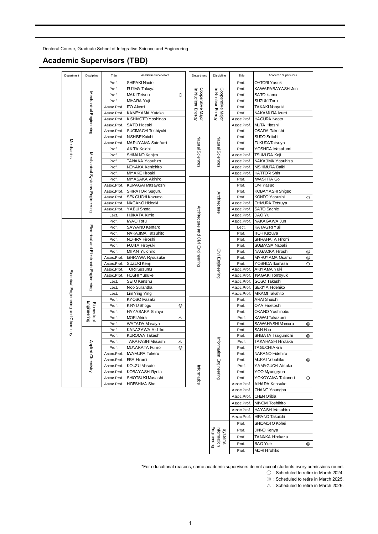### **Academic Supervisors (TBD)**

| Department                           | Discipline                            | Title       | Academic Supervisors     |            | Department                             | Discipline                                              | Title                | Academic Supervisors               |
|--------------------------------------|---------------------------------------|-------------|--------------------------|------------|----------------------------------------|---------------------------------------------------------|----------------------|------------------------------------|
|                                      |                                       | Prof.       | SHIRAKI Naoto            |            |                                        |                                                         | Prof.                | <b>OHTORI Yasuki</b>               |
|                                      |                                       | Prof.       | FUJIMA Takuya            |            |                                        |                                                         | Prof.                | KAWARABAYASHI Jun                  |
|                                      |                                       | Prof.       | <b>MAKI Tetsuo</b>       | O          |                                        |                                                         | Prof.                | SATO Isamu                         |
|                                      |                                       | Prof.       | MIHARA Yuji              |            |                                        |                                                         | Prof.                | SUZUKI Toru                        |
|                                      | Mechanical Engineering                | Assoc.Prof. | <b>ITO Akemi</b>         |            | Cooperative Major<br>in Nuclear Energy | in Nuclear Energy<br>Cooperative Major                  | Prof.                | TAKAKI Naoyuki                     |
|                                      |                                       | Assoc.Prof. | KAMEYAMA Yutaka          |            |                                        |                                                         | Prof.                | NAKAMURA Izumi                     |
|                                      |                                       | Assoc.Prof. | KISHIMOTO Yoshinao       |            |                                        |                                                         | Assoc.Prof.          | <b>HAGURA Naoto</b>                |
|                                      |                                       | Assoc.Prof. | <b>SATO Hideaki</b>      |            |                                        |                                                         | Assoc.Prof.          | <b>MUTA Hitoshi</b>                |
|                                      |                                       | Assoc.Prof. | SUGIMACHI Toshiyuki      |            |                                        |                                                         | Prof.                | OSADA Takeshi                      |
|                                      |                                       | Assoc.Prof. | NISHIBE Koichi           |            |                                        |                                                         | Prof.                | SUDO Seiichi                       |
|                                      |                                       | Assoc.Prof. | MARUYAMA Satofumi        |            |                                        |                                                         | Prof.                | <b>FUKUDATatsuya</b>               |
|                                      |                                       | Prof.       | AKITA Koichi             |            |                                        |                                                         | Prof.                | YOSHIDA Masafumi                   |
| Mechanics                            |                                       | Prof.       | SHIMANO Kenjiro          |            | Natural Sciences                       | Natural Sciences                                        | Assoc.Prof.          | <b>TSUMURA Koji</b>                |
|                                      |                                       | Prof.       | TANAKA Yasuhiro          |            |                                        |                                                         | Assoc.Prof.          | NAKAJIMA Yasuhisa                  |
|                                      |                                       | Prof.       | NONAKA Kenichiro         |            |                                        |                                                         | Assoc.Prof.          | NISHIMURA Daiki                    |
|                                      |                                       | Prof.       | MIY AKE Hiroaki          |            |                                        |                                                         | Assoc.Prof.          | <b>HATTORI Shin</b>                |
|                                      |                                       |             |                          |            |                                        |                                                         |                      |                                    |
|                                      |                                       | Prof.       | MIYASAKA Akihiro         |            |                                        |                                                         | Prof.                | <b>IWASHITA Go</b>                 |
|                                      |                                       | Assoc.Prof. | KUMA GAI Masayoshi       |            |                                        |                                                         | Prof.                | OMI Yasuo                          |
|                                      | Mechanical Systems Engineering        | Assoc.Prof. | SHIRATORI Suguru         |            |                                        |                                                         | Prof.                | KOBAYASHI Shigeo                   |
|                                      |                                       | Assoc.Prof. | SEKIGUCHI Kazuma         |            |                                        | Architecture                                            | Prof.                | KONDO Yasushi<br>O                 |
|                                      |                                       | Assoc.Prof. | NAGANO Hideaki           |            |                                        |                                                         | Assoc.Prof.          | OHMURA Tetsuya                     |
|                                      |                                       | Assoc.Prof. | YABUI Shota              |            |                                        |                                                         | Assoc.Prof.          | <b>SATO Sachie</b>                 |
|                                      |                                       | Lect.       | HIJIKATA Kimio           |            |                                        |                                                         | Assoc.Prof.          | JIAO Yu                            |
|                                      |                                       | Prof.       | <b>MAO</b> Toru          |            |                                        |                                                         | Assoc.Prof.          | NAKAGAWA Jun                       |
|                                      | Electrical and Electronic Engineering | Prof.       | SAWANO Kentaro           |            |                                        |                                                         | Lect.                | <b>KATAGIRI Yuji</b>               |
|                                      |                                       | Prof.       | NAKAJIMA Tatsuhito       |            |                                        |                                                         | Prof.                | <b>ITOH Kazuya</b>                 |
|                                      |                                       | Prof.       | NOHIRA Hiroshi           |            |                                        | Architecture and Civil Engineering<br>Civil Engineering | Prof.                | SHIRAHATA Hiromi                   |
|                                      |                                       | Prof.       | FUJITA Hiroyuki          |            |                                        |                                                         | Prof.                | SUEMASA Naoaki                     |
|                                      |                                       | Prof.       | MITANI Yuichiro          |            |                                        |                                                         | Prof.                | NAGAOKA Hiroshi<br>⊚               |
|                                      |                                       | Assoc.Prof. | <b>ISHIKAWA Ryousuke</b> |            |                                        |                                                         | Prof.                | MARUYAMA Osamu<br>⊚                |
|                                      |                                       | Assoc.Prof. | SUZUKI Kenji             |            |                                        |                                                         | Prof.                | YOSHIDA Ikumasa<br>O               |
|                                      |                                       | Assoc.Prof. | <b>TORII Susumu</b>      |            |                                        |                                                         | Assoc.Prof.          | AKIYAMA Yuki                       |
|                                      |                                       | Assoc.Prof. | <b>HOSHI Yusuke</b>      |            |                                        |                                                         | Assoc.Prof.          | INAGAKI Tomoyuki                   |
|                                      |                                       | Lect.       | <b>SETO Kenshu</b>       |            |                                        |                                                         | Assoc.Prof.          | GOSO Takashi                       |
| Electrical Engineering and Chemistry |                                       | Lect.       | Nico Surantha            |            |                                        |                                                         | Assoc.Prof.          | SEKIYA Hidehiko                    |
|                                      |                                       | Lect.       | Lim Ying Ying            |            |                                        |                                                         | Assoc.Prof.          | <b>MIKAMI Takahito</b>             |
|                                      |                                       | Prof.       | KYOSO Masaki             |            |                                        |                                                         | Prof.                | <b>ARAI Shuichi</b>                |
|                                      |                                       | Prof.       | KIRYU Shogo              | $^{\circ}$ |                                        |                                                         | Prof.                | OYA Hidetoshi                      |
|                                      | Engineering<br>Biomedical             | Prof.       | HAYASAKA Shinya          |            |                                        |                                                         | Prof.                | OKANO Yoshinobu                    |
|                                      |                                       | Prof.       | <b>MORI Akira</b>        | Δ          |                                        |                                                         | Prof.                | KAWAI Takazumi                     |
|                                      |                                       | Prof.       | WATADA Masaya            |            |                                        |                                                         | Prof.                | SAWAHASHI Mamoru<br>$\circledcirc$ |
|                                      |                                       | Prof.       | KANAZAWA Akihiko         |            |                                        |                                                         | Prof.                | SAN Hao                            |
|                                      |                                       | Prof.       | KUROIWA Takashi          |            |                                        |                                                         | Prof.                | SHIBATA Tsugumichi<br>$^{\circ}$   |
|                                      |                                       | Prof.       | TAKAHASHI Masashi<br>Δ   |            |                                        |                                                         | Prof.                | TAKAHASHI Hirotaka                 |
|                                      | Applied                               | Prof.       | MUNAKATA Fumio           | ⊚          |                                        |                                                         | Prof.                | <b>TAGUCHI Akira</b>               |
|                                      |                                       | Assoc.Prof. | <b>MAMURA Takeru</b>     |            |                                        |                                                         | Prof.                | NAKANO Hidehiro                    |
|                                      |                                       | Assoc.Prof. | <b>EBA Hiromi</b>        |            |                                        |                                                         | Prof.                | MUKAI Nobuhiko<br>$^{\circ}$       |
|                                      | Chemistry                             | Assoc.Prof. | <b>KOUZU Masato</b>      |            |                                        | Information Engineering                                 | Prof.                | YAMAGUCHI Atsuko                   |
|                                      |                                       | Assoc.Prof. | KOBAYASHI Ryota          |            | Informatics                            |                                                         | Prof.                | YOO Myungryun                      |
|                                      |                                       | Assoc.Prof. | SHIOTSUKI Masashi        |            |                                        |                                                         | Prof.                | YOKOYAMA Takanori<br>O             |
|                                      |                                       | Assoc.Prof. | <b>HIDESHIMA Sho</b>     |            |                                        |                                                         | Assoc.Prof.          | AIHARA Kensuke                     |
|                                      |                                       |             |                          |            |                                        |                                                         | Assoc.Prof.          | CHANG Youngha                      |
|                                      |                                       |             |                          |            |                                        |                                                         |                      |                                    |
|                                      |                                       |             |                          |            | Assoc.Prof.                            | CHEN Oribia                                             |                      |                                    |
|                                      |                                       |             |                          |            |                                        | Assoc.Prof.                                             | NIINOMI Toshihiro    |                                    |
|                                      |                                       |             |                          |            |                                        |                                                         | Assoc.Prof.          | HAYASHI Masahiro                   |
|                                      |                                       |             |                          |            |                                        |                                                         | Assoc.Prof.          | HIRANO Takuichi                    |
|                                      |                                       |             |                          |            |                                        | Prof.                                                   | SHIOMOTO Kohei       |                                    |
|                                      |                                       |             |                          |            |                                        | Prof.                                                   | JINNO Kenya          |                                    |
|                                      |                                       |             |                          |            |                                        | Engineering<br><b>Systems</b><br>Information            |                      |                                    |
|                                      |                                       |             |                          |            |                                        |                                                         | Prof.                | TANAKA Hirokazu                    |
|                                      |                                       |             |                          |            |                                        |                                                         | Prof.                | BAO Yue<br>⊚                       |
|                                      |                                       |             |                          |            |                                        | Prof.                                                   | <b>MORI Hirohiko</b> |                                    |
|                                      |                                       |             |                          |            |                                        |                                                         |                      |                                    |

\*For educational reasons, some academic supervisors do not accept students every admissions round.

◯ : Scheduled to retire in March 2024.

◎ : Scheduled to retire in March 2025.

 $\triangle$  : Scheduled to retire in March 2026.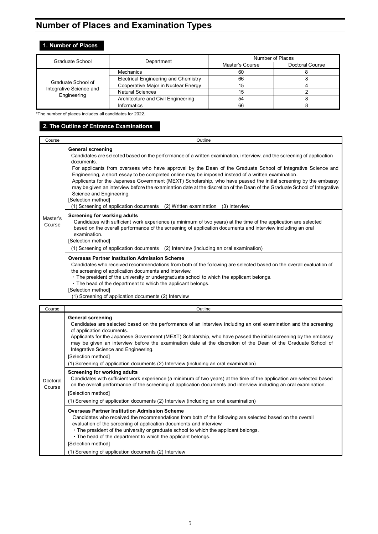# **Number of Places and Examination Types**

# **1. Number of Places**

| Graduate School                        | Department                           | Number of Places |                 |  |
|----------------------------------------|--------------------------------------|------------------|-----------------|--|
|                                        |                                      | Master's Course  | Doctoral Course |  |
|                                        | Mechanics                            | 60               |                 |  |
|                                        | Electrical Engineering and Chemistry | 66               |                 |  |
| Graduate School of                     | Cooperative Major in Nuclear Energy  | 15               |                 |  |
| Integrative Science and<br>Engineering | <b>Natural Sciences</b>              | 15               |                 |  |
|                                        | Architecture and Civil Engineering   | 54               |                 |  |
|                                        | <b>Informatics</b>                   | 66               |                 |  |

\*The number of places includes all candidates for 2022.

### **2. The Outline of Entrance Examinations**

| Course             | Outline                                                                                                                                                                                                                                                                                                                                                                                                                                                                                                                                                                                                                                                                                                                                                                        |
|--------------------|--------------------------------------------------------------------------------------------------------------------------------------------------------------------------------------------------------------------------------------------------------------------------------------------------------------------------------------------------------------------------------------------------------------------------------------------------------------------------------------------------------------------------------------------------------------------------------------------------------------------------------------------------------------------------------------------------------------------------------------------------------------------------------|
|                    | <b>General screening</b><br>Candidates are selected based on the performance of a written examination, interview, and the screening of application<br>documents.<br>For applicants from overseas who have approval by the Dean of the Graduate School of Integrative Science and<br>Engineering, a short essay to be completed online may be imposed instead of a written examination.<br>Applicants for the Japanese Government (MEXT) Scholarship, who have passed the initial screening by the embassy<br>may be given an interview before the examination date at the discretion of the Dean of the Graduate School of Integrative<br>Science and Engineering.<br>[Selection method]<br>$(1)$ Screening of application documents $(2)$ Written examination $(3)$ Interview |
| Master's<br>Course | Screening for working adults<br>Candidates with sufficient work experience (a minimum of two years) at the time of the application are selected<br>based on the overall performance of the screening of application documents and interview including an oral<br>examination.<br>[Selection method]<br>(1) Screening of application documents (2) Interview (including an oral examination)                                                                                                                                                                                                                                                                                                                                                                                    |
|                    | <b>Overseas Partner Institution Admission Scheme</b><br>Candidates who received recommendations from both of the following are selected based on the overall evaluation of<br>the screening of application documents and interview.<br>• The president of the university or undergraduate school to which the applicant belongs.<br>. The head of the department to which the applicant belongs.<br>[Selection method]<br>(1) Screening of application documents (2) Interview                                                                                                                                                                                                                                                                                                 |

| Course             | Outline                                                                                                                                                                                                                                                                                                                                                                                                                                                                                                                                                             |
|--------------------|---------------------------------------------------------------------------------------------------------------------------------------------------------------------------------------------------------------------------------------------------------------------------------------------------------------------------------------------------------------------------------------------------------------------------------------------------------------------------------------------------------------------------------------------------------------------|
|                    | <b>General screening</b><br>Candidates are selected based on the performance of an interview including an oral examination and the screening<br>of application documents.<br>Applicants for the Japanese Government (MEXT) Scholarship, who have passed the initial screening by the embassy<br>may be given an interview before the examination date at the discretion of the Dean of the Graduate School of<br>Integrative Science and Engineering.<br>[Selection method]<br>(1) Screening of application documents (2) Interview (including an oral examination) |
| Doctoral<br>Course | Screening for working adults<br>Candidates with sufficient work experience (a minimum of two years) at the time of the application are selected based<br>on the overall performance of the screening of application documents and interview including an oral examination.<br>[Selection method]                                                                                                                                                                                                                                                                    |
|                    | (1) Screening of application documents (2) Interview (including an oral examination)                                                                                                                                                                                                                                                                                                                                                                                                                                                                                |
|                    | <b>Overseas Partner Institution Admission Scheme</b><br>Candidates who received the recommendations from both of the following are selected based on the overall<br>evaluation of the screening of application documents and interview.<br>. The president of the university or graduate school to which the applicant belongs.<br>. The head of the department to which the applicant belongs.<br>[Selection method]                                                                                                                                               |
|                    | (1) Screening of application documents (2) Interview                                                                                                                                                                                                                                                                                                                                                                                                                                                                                                                |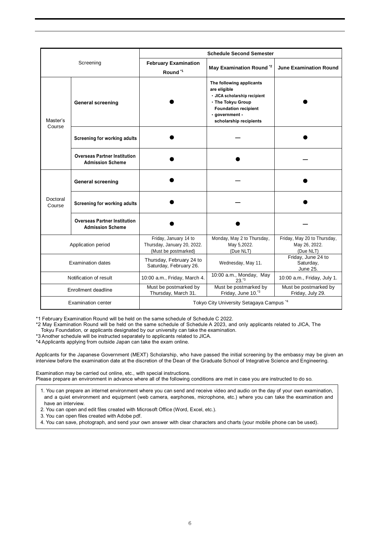|                           |                                                                |                                                                              | <b>Schedule Second Semester</b>                                                                                                                                          |                                                           |  |
|---------------------------|----------------------------------------------------------------|------------------------------------------------------------------------------|--------------------------------------------------------------------------------------------------------------------------------------------------------------------------|-----------------------------------------------------------|--|
|                           | Screening                                                      | <b>February Examination</b><br>Round <sup>*1</sup>                           | May Examination Round <sup>*2</sup>                                                                                                                                      | <b>June Examination Round</b>                             |  |
| Master's<br>Course        | <b>General screening</b>                                       |                                                                              | The following applicants<br>are eligible<br>• JICA scholarship recipient<br>. The Tokyu Group<br><b>Foundation recipient</b><br>· government -<br>scholarship recipients |                                                           |  |
|                           | Screening for working adults                                   |                                                                              |                                                                                                                                                                          |                                                           |  |
|                           | <b>Overseas Partner Institution</b><br><b>Admission Scheme</b> |                                                                              |                                                                                                                                                                          |                                                           |  |
|                           | <b>General screening</b>                                       |                                                                              |                                                                                                                                                                          |                                                           |  |
| Doctoral<br>Course        | Screening for working adults                                   |                                                                              |                                                                                                                                                                          |                                                           |  |
|                           | <b>Overseas Partner Institution</b><br><b>Admission Scheme</b> |                                                                              |                                                                                                                                                                          |                                                           |  |
| Application period        |                                                                | Friday, January 14 to<br>Thursday, January 20, 2022.<br>(Must be postmarked) | Monday, May 2 to Thursday,<br>May 5,2022.<br>(Due NLT)                                                                                                                   | Friday, May 20 to Thursday,<br>May 26, 2022.<br>(Due NLT) |  |
| <b>Examination dates</b>  |                                                                | Thursday, February 24 to<br>Saturday, February 26.                           | Wednesday, May 11.                                                                                                                                                       | Friday, June 24 to<br>Saturday,<br>June 25.               |  |
| Notification of result    |                                                                | 10:00 a.m., Friday, March 4.                                                 | 10:00 a.m., Monday, May<br>$23.^{"3}$                                                                                                                                    | 10:00 a.m., Friday, July 1.                               |  |
|                           | Enrollment deadline                                            | Must be postmarked by<br>Thursday, March 31.                                 | Must be postmarked by<br>Friday, June 10.*3                                                                                                                              | Must be postmarked by<br>Friday, July 29.                 |  |
| <b>Examination center</b> |                                                                | Tokyo City University Setagaya Campus *4                                     |                                                                                                                                                                          |                                                           |  |

\*1 February Examination Round will be held on the same schedule of Schedule C 2022.

\*2 May Examination Round will be held on the same schedule of Schedule A 2023, and only applicants related to JICA, The Tokyu Foundation, or applicants designated by our university can take the examination.

\*3 Another schedule will be instructed separately to applicants related to JICA.

\*4 Applicants applying from outside Japan can take the exam online.

Applicants for the Japanese Government (MEXT) Scholarship, who have passed the initial screening by the embassy may be given an interview before the examination date at the discretion of the Dean of the Graduate School of Integrative Science and Engineering.

Examination may be carried out online, etc., with special instructions. Please prepare an environment in advance where all of the following conditions are met in case you are instructed to do so.

1. You can prepare an internet environment where you can send and receive video and audio on the day of your own examination, and a quiet environment and equipment (web camera, earphones, microphone, etc.) where you can take the examination and have an interview.

2. You can open and edit files created with Microsoft Office (Word, Excel, etc.).

3. You can open files created with Adobe pdf.

4. You can save, photograph, and send your own answer with clear characters and charts (your mobile phone can be used).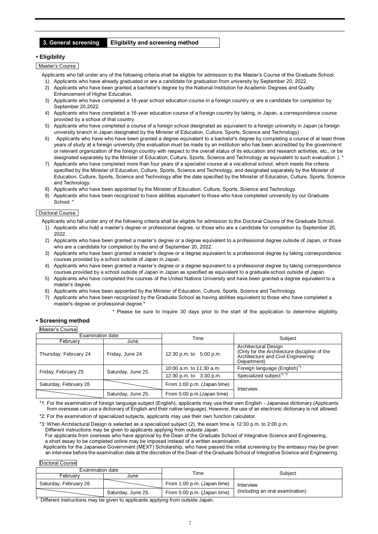#### **3. General screening Eligibility and screening method**

#### **• Eligibility**

Master's Course

- Applicants who fall under any of the following criteria shall be eligible for admission to the Master's Course of the Graduate School.
- 1) Applicants who have already graduated or are a candidate for graduation from university by September 20, 2022. 2) Applicants who have been granted a bachelor's degree by the National Institution for Academic Degrees and Quality
- Enhancement of Higher Education. 3) Applicants who have completed a 16-year school education course in a foreign country or are a candidate for completion by
- September 20, 2022.
- 4) Applicants who have completed a 16-year education course of a foreign country by taking, in Japan, a correspondence course provided by a school of that country.
- 5) Applicants who have completed a course of a foreign school designated as equivalent to a foreign university in Japan (a foreign university branch in Japan designated by the Minister of Education, Culture, Sports, Science and Technology)
- 6) Applicants who have who have been granted a degree equivalent to a bachelor's degree by completing a course of at least three years of study at a foreign university (the evaluation must be made by an institution who has been accredited by the government or relevant organization of the foreign country with respect to the overall status of its education and research activities, etc., or be designated separately by the Minister of Education, Culture, Sports, Science and Technology as equivalent to such evaluation ). \*
- 7) Applicants who have completed more than four years of a specialist course at a vocational school, which meets the criteria specified by the Minister of Education, Culture, Sports, Science and Technology, and designated separately by the Minister of Education, Culture, Sports, Science and Technology after the date specified by the Minister of Education, Culture, Sports, Science and Technology.
- 8) Applicants who have been appointed by the Minister of Education, Culture, Sports, Science and Technology.
- 9) Applicants who have been recognized to have abilities equivalent to those who have completed university by our Graduate School.<sup>\*</sup>

#### Doctoral Course

- Applicants who fall under any of the following criteria shall be eligible for admission to the Doctoral Course of the Graduate School.
- 1) Applicants who hold a master's degree or professional degree, or those who are a candidate for completion by September 20, 2022.
- 2) Applicants who have been granted a master's degree or a degree equivalent to a professional degree outside of Japan, or those who are a candidate for completion by the end of September 20, 2022.
- 3) Applicants who have been granted a master's degree or a degree equivalent to a professional degree by taking correspondence courses provided by a school outside of Japan in Japan.
- 4) Applicants who have been granted a master's degree or a degree equivalent to a professional degree by taking correspondence courses provided by a school outside of Japan in Japan as specified as equivalent to a graduate school outside of Japan.
- 5) Applicants who have completed the courses of the United Nations University and have been granted a degree equivalent to a master's degree.
- 6) Applicants who have been appointed by the Minister of Education, Culture, Sports, Science and Technology.
- 7) Applicants who have been recognized by the Graduate School as having abilities equivalent to those who have completed a master's degree or professional degree.\*

\* Please be sure to inquire 30 days prior to the start of the application to determine eligibility.

#### **• Screening method**

#### Master's Course

| <b>Examination date</b> |                    | Time                        | Subject                                                                                                                   |  |
|-------------------------|--------------------|-----------------------------|---------------------------------------------------------------------------------------------------------------------------|--|
| February                | June               |                             |                                                                                                                           |  |
| Thursday, February 24   | Friday, June 24    | 12:30 p.m. to 5:00 p.m.     | Architectural Design<br>(Only for the Architecture discipline of the<br>Architecture and Civil Engineering<br>Department) |  |
| Friday, February 25     | Saturday, June 25. | 10:00 a.m. to 11:30 a.m.    | Foreign language (English) <sup>*1</sup>                                                                                  |  |
|                         |                    | 12:30 p.m. to 3:30 p.m.     | Specialized subject <sup>*2 *3</sup>                                                                                      |  |
| Saturday, February 26   |                    | From 1:00 p.m. (Japan time) | Interview                                                                                                                 |  |
|                         | Saturday, June 25. | From 5:00 p.m. (Japan time) |                                                                                                                           |  |

\*1: For the examination of foreign language subject (English), applicants may use their own English - Japanese dictionary (Applicants from overseas can use a dictionary of English and their native language). However, the use of an electronic dictionary is not allowed.

\*2: For the examination of specialized subjects, applicants may use their own function calculator.

\*3: When Architectural Design is selected as a specialized subject (2), the exam time is 12:30 p.m. to 2:00 p.m.

Different instructions may be given to applicants applying from outside Japan.

For applicants from overseas who have approval by the Dean of the Graduate School of Integrative Science and Engineering, a short essay to be completed online may be imposed instead of a written examination.

Applicants for the Japanese Government (MEXT) Scholarship, who have passed the initial screening by the embassy may be given an interview before the examination date at the discretion of the Dean of the Graduate School of Integrative Science and Engineering.

Doctoral Course

| Examination date      |                    |                             |                                 |  |
|-----------------------|--------------------|-----------------------------|---------------------------------|--|
| Februarv<br>June      |                    | Time                        | Subject                         |  |
| Saturday, February 26 |                    | From 1:00 p.m. (Japan time) | Interview                       |  |
|                       | Saturday, June 25. | From 5:00 p.m. (Japan time) | (including an oral examination) |  |

Different instructions may be given to applicants applying from outside Japan.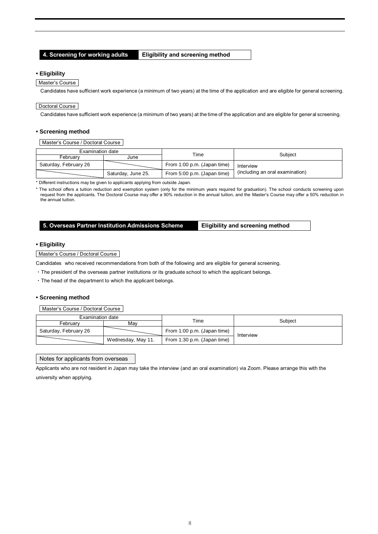**4. Screening for working adults Eligibility and screening method**

#### **• Eligibility**

#### Master's Course

Candidates have sufficient work experience (a minimum of two years) at the time of the application and are eligible for general screening.

#### Doctoral Course

Candidates have sufficient work experience (a minimum of two years) at the time of the application and are eligible for general screening.

#### **• Screening method**

Master's Course / Doctoral Course

| Examination date      |                    | Time                        | Subject                         |  |
|-----------------------|--------------------|-----------------------------|---------------------------------|--|
| Februarv              | June               |                             |                                 |  |
| Saturday, February 26 |                    | From 1:00 p.m. (Japan time) | Interview                       |  |
|                       | Saturday, June 25. | From 5:00 p.m. (Japan time) | (including an oral examination) |  |

\* Different instructions may be given to applicants applying from outside Japan.

\* The school offers a tuition reduction and exemption system (only for the minimum years required for graduation). The school conducts screening upon request from the applicants. The Doctoral Course may offer a 90% reduction in the annual tuition, and the Master's Course may offer a 50% reduction in the annual tuition.

#### **5. Overseas Partner Institution Admissions Scheme Eligibility and screening method**

#### **• Eligibility**

#### Master's Course / Doctoral Course

Candidates who received recommendations from both of the following and are eligible for general screening.

- ・The president of the overseas partner institutions or its graduate school to which the applicant belongs.
- ・The head of the department to which the applicant belongs.

#### **• Screening method**

Master's Course / Doctoral Course

| Examination date      |                    | $\tau$ ime                  |           |  |
|-----------------------|--------------------|-----------------------------|-----------|--|
| Februarv              | Mav                |                             | Subject   |  |
| Saturday, February 26 |                    | From 1:00 p.m. (Japan time) | Interview |  |
|                       | Wednesday, May 11. | From 1:30 p.m. (Japan time) |           |  |

#### Notes for applicants from overseas

Applicants who are not resident in Japan may take the interview (and an oral examination) via Zoom. Please arrange this with the university when applying.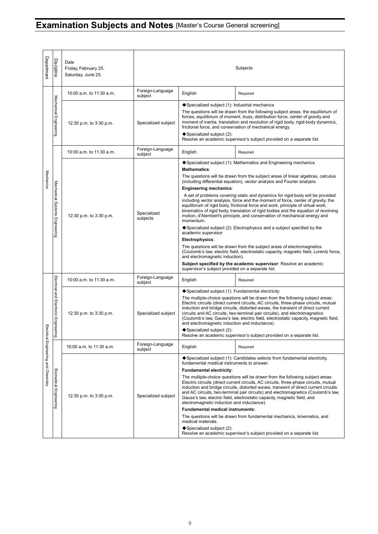# **Examination Subjects and Notes** [Master's Course General screening]

| Department                | <b>Discipline</b>                              | Date<br>Friday, February 25.<br>Saturday, June 25.                                                                      | Subjects                                                                                                                                                                                                                                                                                                                                                                                                                                                                                                                                                                                                                                                                                                                                                                                                                                                                                                                                                                                                                                                                                                                                                                      |                                                                                                                                                                                                                                                                                                                                                                                                                                                                                                                                                                                                                                                                                                                                                                                                                                              |                                                                                                                                                                                                                                                                                                                                                                                               |  |
|---------------------------|------------------------------------------------|-------------------------------------------------------------------------------------------------------------------------|-------------------------------------------------------------------------------------------------------------------------------------------------------------------------------------------------------------------------------------------------------------------------------------------------------------------------------------------------------------------------------------------------------------------------------------------------------------------------------------------------------------------------------------------------------------------------------------------------------------------------------------------------------------------------------------------------------------------------------------------------------------------------------------------------------------------------------------------------------------------------------------------------------------------------------------------------------------------------------------------------------------------------------------------------------------------------------------------------------------------------------------------------------------------------------|----------------------------------------------------------------------------------------------------------------------------------------------------------------------------------------------------------------------------------------------------------------------------------------------------------------------------------------------------------------------------------------------------------------------------------------------------------------------------------------------------------------------------------------------------------------------------------------------------------------------------------------------------------------------------------------------------------------------------------------------------------------------------------------------------------------------------------------------|-----------------------------------------------------------------------------------------------------------------------------------------------------------------------------------------------------------------------------------------------------------------------------------------------------------------------------------------------------------------------------------------------|--|
|                           |                                                | 10:00 a.m. to 11:30 a.m.                                                                                                | Foreign-Language<br>subject                                                                                                                                                                                                                                                                                                                                                                                                                                                                                                                                                                                                                                                                                                                                                                                                                                                                                                                                                                                                                                                                                                                                                   | English                                                                                                                                                                                                                                                                                                                                                                                                                                                                                                                                                                                                                                                                                                                                                                                                                                      | Required                                                                                                                                                                                                                                                                                                                                                                                      |  |
|                           | Mechanical Engineering                         | 12:30 p.m. to 3:30 p.m.                                                                                                 | Specialized subject                                                                                                                                                                                                                                                                                                                                                                                                                                                                                                                                                                                                                                                                                                                                                                                                                                                                                                                                                                                                                                                                                                                                                           | ◆ Specialized subject (1): Industrial mechanics<br>◆ Specialized subject (2):                                                                                                                                                                                                                                                                                                                                                                                                                                                                                                                                                                                                                                                                                                                                                                | The questions will be drawn from the following subject areas: the equilibrium of<br>forces, equilibrium of moment, truss, distribution force, center of gravity and<br>moment of inertia, translation and revolution of rigid body, rigid-body dynamics,<br>frictional force, and conservation of mechanical energy.<br>Resolve an academic supervisor's subject provided on a separate list. |  |
|                           |                                                | 10:00 a.m. to 11:30 a.m.                                                                                                | Foreign-Language<br>subject                                                                                                                                                                                                                                                                                                                                                                                                                                                                                                                                                                                                                                                                                                                                                                                                                                                                                                                                                                                                                                                                                                                                                   | English                                                                                                                                                                                                                                                                                                                                                                                                                                                                                                                                                                                                                                                                                                                                                                                                                                      | Required                                                                                                                                                                                                                                                                                                                                                                                      |  |
| Mechanics                 | Mechanical Systems Engineering                 | 12:30 p.m. to 3:30 p.m.                                                                                                 | ♦ Specialized subject (1): Mathematics and Engineering mechanics<br><b>Mathematics:</b><br>The questions will be drawn from the subject areas of linear algebras, calculus<br>(including differential equation), vector analysis and Fourier analysis.<br><b>Engineering mechanics:</b><br>A set of problems covering static and dynamics for rigid-body will be provided<br>including vector analysis, force and the moment of force, center of gravity, the<br>equilibrium of rigid body, frictional force and work, principle of virtual work,<br>kinematics of rigid body, translation of rigid bodies and the equation of revolving<br>Specialized<br>motion, d'Alembert's principle, and conservation of mechanical energy and<br>subjects<br>momentum.<br>$\blacklozenge$ Specialized subject (2): Electrophysics and a subject specified by the<br>academic supervisor<br>Electrophysics:<br>The questions will be drawn from the subject areas of electromagnetics<br>(Coulomb's law, electric field, electrostatic capacity, magnetic field, Lorentz force,<br>and electromagnetic induction).<br>Subject specified by the academic supervisor: Resolve an academic |                                                                                                                                                                                                                                                                                                                                                                                                                                                                                                                                                                                                                                                                                                                                                                                                                                              | supervisor's subject provided on a separate list.                                                                                                                                                                                                                                                                                                                                             |  |
|                           |                                                | 10:00 a.m. to 11:30 a.m.                                                                                                | Foreign-Language<br>subject                                                                                                                                                                                                                                                                                                                                                                                                                                                                                                                                                                                                                                                                                                                                                                                                                                                                                                                                                                                                                                                                                                                                                   | English                                                                                                                                                                                                                                                                                                                                                                                                                                                                                                                                                                                                                                                                                                                                                                                                                                      | Required                                                                                                                                                                                                                                                                                                                                                                                      |  |
| Elect<br>lical            | Electrical and Electronic Enginee<br><b>Dg</b> | 12:30 p.m. to 3:30 p.m.                                                                                                 | Specialized subject                                                                                                                                                                                                                                                                                                                                                                                                                                                                                                                                                                                                                                                                                                                                                                                                                                                                                                                                                                                                                                                                                                                                                           | ♦ Specialized subject (1): Fundamental electricity<br>The multiple-choice questions will be drawn from the following subject areas:<br>Electric circuits (direct current circuits, AC circuits, three-phase circuits, mutual<br>induction and bridge circuits, distorted waves, the transient of direct current<br>circuits and AC circuits, two-terminal pair circuits), and electromagnetics<br>(Coulomb's law, Gauss's law, electric field, electrostatic capacity, magnetic field,<br>and electromagnetic induction and inductance).<br>$\blacklozenge$ Specialized subject (2):<br>Resolve an academic supervisor's subject provided on a separate list.                                                                                                                                                                                |                                                                                                                                                                                                                                                                                                                                                                                               |  |
|                           |                                                | 10:00 a.m. to 11:30 a.m.                                                                                                | Foreign-Language<br>subject                                                                                                                                                                                                                                                                                                                                                                                                                                                                                                                                                                                                                                                                                                                                                                                                                                                                                                                                                                                                                                                                                                                                                   | English                                                                                                                                                                                                                                                                                                                                                                                                                                                                                                                                                                                                                                                                                                                                                                                                                                      | Required                                                                                                                                                                                                                                                                                                                                                                                      |  |
| Engineering and Chemistry | <b>Biomedical Engineering</b>                  | 12:30 p.m. to 3:30 p.m.<br>Specialized subject<br>Resolve an academic supervisor's subject provided on a separate list. |                                                                                                                                                                                                                                                                                                                                                                                                                                                                                                                                                                                                                                                                                                                                                                                                                                                                                                                                                                                                                                                                                                                                                                               | $\blacklozenge$ Specialized subject (1): Candidates selects from fundamental electricity,<br>fundamental medical instruments to answer.<br>Fundamental electricity:<br>The multiple-choice questions will be drawn from the following subject areas:<br>Electric circuits (direct current circuits, AC circuits, three-phase circuits, mutual<br>induction and bridge circuits, distorted waves, transient of direct current circuits<br>and AC circuits, two-terminal pair circuits) and electromagnetics (Coulomb's law,<br>Gauss's law, electric field, electrostatic capacity, magnetic field, and<br>electromagnetic induction and inductance).<br><b>Fundamental medical instruments:</b><br>The questions will be drawn from fundamental mechanics, kinematics, and<br>medical materials.<br>$\blacklozenge$ Specialized subject (2): |                                                                                                                                                                                                                                                                                                                                                                                               |  |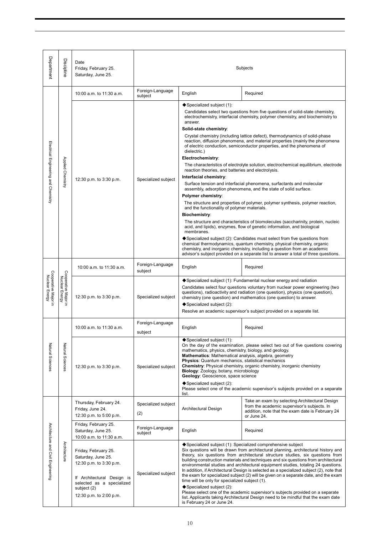| Department                             | Discipline                               | Date<br>Friday, February 25.<br>Saturday, June 25.                                                                                                                         | Subjects                    |                                                                                                                                                                                                                                                                                                                                                                                                                                                                                                                                                                                                                                                                                                                                                                                                                                                                                                                                                                                                                                                                                                                                                                                                                                                                                                                                                                                                                                |                                                                                                                                                                  |
|----------------------------------------|------------------------------------------|----------------------------------------------------------------------------------------------------------------------------------------------------------------------------|-----------------------------|--------------------------------------------------------------------------------------------------------------------------------------------------------------------------------------------------------------------------------------------------------------------------------------------------------------------------------------------------------------------------------------------------------------------------------------------------------------------------------------------------------------------------------------------------------------------------------------------------------------------------------------------------------------------------------------------------------------------------------------------------------------------------------------------------------------------------------------------------------------------------------------------------------------------------------------------------------------------------------------------------------------------------------------------------------------------------------------------------------------------------------------------------------------------------------------------------------------------------------------------------------------------------------------------------------------------------------------------------------------------------------------------------------------------------------|------------------------------------------------------------------------------------------------------------------------------------------------------------------|
|                                        |                                          | 10:00 a.m. to 11:30 a.m.                                                                                                                                                   | Foreign-Language<br>subject | English                                                                                                                                                                                                                                                                                                                                                                                                                                                                                                                                                                                                                                                                                                                                                                                                                                                                                                                                                                                                                                                                                                                                                                                                                                                                                                                                                                                                                        | Required                                                                                                                                                         |
| Electrical Engineering and Chemistry   | Applied Chemistry                        | 12:30 p.m. to 3:30 p.m.                                                                                                                                                    | Specialized subject         | ◆ Specialized subject (1):<br>Candidates select two questions from five questions of solid-state chemistry.<br>electrochemistry, interfacial chemistry, polymer chemistry, and biochemistry to<br>answer.<br>Solid-state chemistry:<br>Crystal chemistry (including lattice defect), thermodynamics of solid-phase<br>reaction, diffusion phenomena, and material properties (mainly the phenomena<br>of electric conduction, semiconductor properties, and the phenomena of<br>dielectric.)<br>Electrochemistry:<br>The characteristics of electrolyte solution, electrochemical equilibrium, electrode<br>reaction theories, and batteries and electrolysis.<br>Interfacial chemistry:<br>Surface tension and interfacial phenomena, surfactants and molecular<br>assembly, adsorption phenomena, and the state of solid surface.<br>Polymer chemistry:<br>The structure and properties of polymer, polymer synthesis, polymer reaction,<br>and the functionality of polymer materials.<br>Biochemistry:<br>The structure and characteristics of biomolecules (saccharinity, protein, nucleic<br>acid, and lipids), enzymes, flow of genetic information, and biological<br>membranes.<br>◆ Specialized subject (2): Candidates must select from five questions from<br>chemical thermodynamics, quantum chemistry, physical chemistry, organic<br>chemistry, and inorganic chemistry, including a question from an academic |                                                                                                                                                                  |
|                                        | Cooperative Major<br>Nuclear Energy<br>Б | 10:00 a.m. to 11:30 a.m.                                                                                                                                                   | Foreign-Language<br>subject | English                                                                                                                                                                                                                                                                                                                                                                                                                                                                                                                                                                                                                                                                                                                                                                                                                                                                                                                                                                                                                                                                                                                                                                                                                                                                                                                                                                                                                        | advisor's subject provided on a separate list to answer a total of three questions.<br>Required                                                                  |
| Cooperative Major in<br>Nuclear Energy |                                          | 12:30 p.m. to 3:30 p.m.                                                                                                                                                    | Specialized subject         | ◆ Specialized subject (1): Fundamental nuclear energy and radiation<br>Candidates select four questions voluntary from nuclear power engineering (two<br>questions), radioactivity and radiation (one question), physics (one question),<br>chemistry (one question) and mathematics (one question) to answer.<br>◆ Specialized subject (2):<br>Resolve an academic supervisor's subject provided on a separate list.                                                                                                                                                                                                                                                                                                                                                                                                                                                                                                                                                                                                                                                                                                                                                                                                                                                                                                                                                                                                          |                                                                                                                                                                  |
|                                        |                                          | 10:00 a.m. to 11:30 a.m.                                                                                                                                                   | Foreign-Language<br>subject | English                                                                                                                                                                                                                                                                                                                                                                                                                                                                                                                                                                                                                                                                                                                                                                                                                                                                                                                                                                                                                                                                                                                                                                                                                                                                                                                                                                                                                        | Required                                                                                                                                                         |
| Natural Sciences                       | Natural Sciences                         | 12:30 p.m. to 3:30 p.m.<br>Specialized subject                                                                                                                             |                             | ◆ Specialized subject (1):<br>On the day of the examination, please select two out of five questions covering<br>mathematics, physics, chemistry, biology, and geology.<br>Mathematics: Mathematical analysis, algebra, geometry<br><b>Physics:</b> Quantum mechanics, statistical mechanics<br>Chemistry: Physical chemistry, organic chemistry, inorganic chemistry<br>Biology: Zoology, botany, microbiology<br>Geology: Geoscience, space science<br>◆ Specialized subject (2):<br>Please select one of the academic supervisor's subjects provided on a separate<br>list.                                                                                                                                                                                                                                                                                                                                                                                                                                                                                                                                                                                                                                                                                                                                                                                                                                                 |                                                                                                                                                                  |
|                                        |                                          | Thursday, February 24.<br>Friday, June 24.<br>12:30 p.m. to 5:00 p.m.                                                                                                      | Specialized subject<br>(2)  | Architectural Design                                                                                                                                                                                                                                                                                                                                                                                                                                                                                                                                                                                                                                                                                                                                                                                                                                                                                                                                                                                                                                                                                                                                                                                                                                                                                                                                                                                                           | Take an exam by selecting Architectural Design<br>from the academic supervisor's subjects. In<br>addition, note that the exam date is February 24<br>or June 24. |
|                                        |                                          | Friday, February 25.<br>Saturday, June 25.<br>10:00 a.m. to 11:30 a.m.                                                                                                     | Foreign-Language<br>subject | English                                                                                                                                                                                                                                                                                                                                                                                                                                                                                                                                                                                                                                                                                                                                                                                                                                                                                                                                                                                                                                                                                                                                                                                                                                                                                                                                                                                                                        | Required                                                                                                                                                         |
| Architecture and Civil Engineering     | Architecture                             | Friday, February 25.<br>Saturday, June 25.<br>12:30 p.m. to 3:30 p.m.<br>If Architectural Design is<br>selected as a specialized<br>subject (2)<br>12:30 p.m. to 2:00 p.m. | Specialized subject         | ◆ Specialized subject (1): Specialized comprehensive subject<br>Six questions will be drawn from architectural planning, architectural history and<br>theory, six questions from architectural structure studies, six questions from<br>building construction materials and techniques and six questions from architectural<br>environmental studies and architectural equipment studies, totaling 24 questions.<br>In addition, if Architectural Design is selected as a specialized subject (2), note that<br>the exam for specialized subject (2) will be given on a separate date, and the exam<br>time will be only for specialized subject (1).<br>◆ Specialized subject (2):<br>Please select one of the academic supervisor's subjects provided on a separate<br>list. Applicants taking Architectural Design need to be mindful that the exam date<br>is February 24 or June 24.                                                                                                                                                                                                                                                                                                                                                                                                                                                                                                                                      |                                                                                                                                                                  |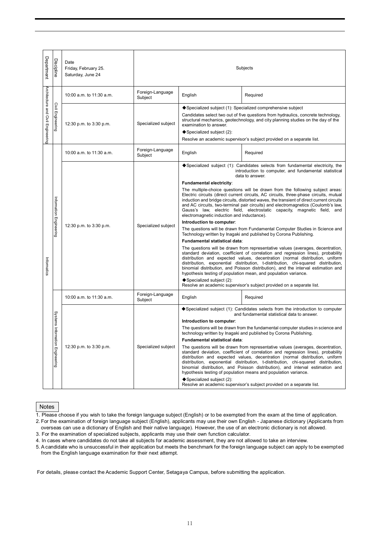| Department                         | Discipline                      | Date<br>Friday, February 25.<br>Saturday, June 24 | Subjects                    |                                                                                                                                                                                                                                                                                                                                                                                                                                                                                                                                                                                                                                                                                                                                                                                                                                                                                                                                                                                                                                                                                                                                                                                                                                                                                                                                                                                                                                                  |                                                                                                                                                                                                                                                                                                                |
|------------------------------------|---------------------------------|---------------------------------------------------|-----------------------------|--------------------------------------------------------------------------------------------------------------------------------------------------------------------------------------------------------------------------------------------------------------------------------------------------------------------------------------------------------------------------------------------------------------------------------------------------------------------------------------------------------------------------------------------------------------------------------------------------------------------------------------------------------------------------------------------------------------------------------------------------------------------------------------------------------------------------------------------------------------------------------------------------------------------------------------------------------------------------------------------------------------------------------------------------------------------------------------------------------------------------------------------------------------------------------------------------------------------------------------------------------------------------------------------------------------------------------------------------------------------------------------------------------------------------------------------------|----------------------------------------------------------------------------------------------------------------------------------------------------------------------------------------------------------------------------------------------------------------------------------------------------------------|
|                                    |                                 | 10:00 a.m. to 11:30 a.m.                          | Foreign-Language<br>Subject | English                                                                                                                                                                                                                                                                                                                                                                                                                                                                                                                                                                                                                                                                                                                                                                                                                                                                                                                                                                                                                                                                                                                                                                                                                                                                                                                                                                                                                                          | Required                                                                                                                                                                                                                                                                                                       |
| Architecture and Civil Engineering | Civil Engineering               | 12:30 p.m. to 3:30 p.m.                           | Specialized subject         | examination to answer.<br>◆ Specialized subject (2):                                                                                                                                                                                                                                                                                                                                                                                                                                                                                                                                                                                                                                                                                                                                                                                                                                                                                                                                                                                                                                                                                                                                                                                                                                                                                                                                                                                             | ◆ Specialized subject (1): Specialized comprehensive subject<br>Candidates select two out of five questions from hydraulics, concrete technology,<br>structural mechanics, geotechnology, and city planning studies on the day of the<br>Resolve an academic supervisor's subject provided on a separate list. |
|                                    |                                 | 10:00 a.m. to 11:30 a.m.                          | Foreign-Language<br>Subject | English                                                                                                                                                                                                                                                                                                                                                                                                                                                                                                                                                                                                                                                                                                                                                                                                                                                                                                                                                                                                                                                                                                                                                                                                                                                                                                                                                                                                                                          | Required                                                                                                                                                                                                                                                                                                       |
| Informatics                        | Information Engineering         | 12:30 p.m. to 3:30 p.m.                           | Specialized subject         | $\blacklozenge$ Specialized subject (1): Candidates selects from fundamental electricity, the<br>introduction to computer, and fundamental statistical<br>data to answer.<br>Fundamental electricity:<br>The multiple-choice questions will be drawn from the following subject areas:<br>Electric circuits (direct current circuits, AC circuits, three-phase circuits, mutual<br>induction and bridge circuits, distorted waves, the transient of direct current circuits<br>and AC circuits, two-terminal pair circuits) and electromagnetics (Coulomb's law,<br>Gauss's law, electric field, electrostatic capacity, magnetic field, and<br>electromagnetic induction and inductance).<br>Introduction to computer:<br>The questions will be drawn from Fundamental Computer Studies in Science and<br>Technology written by Inagaki and published by Corona Publishing.<br>Fundamental statistical data:<br>The questions will be drawn from representative values (averages, decentration,<br>standard deviation, coefficient of correlation and regression lines), probability<br>distribution and expected values, decentration (normal distribution, uniform<br>distribution, exponential distribution, t-distribution, chi-squared distribution,<br>binomial distribution, and Poisson distribution), and the interval estimation and<br>hypothesis testing of population mean, and population variance.<br>◆ Specialized subject (2): |                                                                                                                                                                                                                                                                                                                |
|                                    |                                 | 10:00 a.m. to 11:30 a.m.                          | Foreign-Language<br>Subject | English                                                                                                                                                                                                                                                                                                                                                                                                                                                                                                                                                                                                                                                                                                                                                                                                                                                                                                                                                                                                                                                                                                                                                                                                                                                                                                                                                                                                                                          | Required                                                                                                                                                                                                                                                                                                       |
|                                    | Systems Information Engineering | 12:30 p.m. to 3:30 p.m.<br>Specialized subject    |                             | $\blacklozenge$ Specialized subject (1): Candidates selects from the introduction to computer<br>and fundamental statistical data to answer.<br>Introduction to computer:<br>The questions will be drawn from the fundamental computer studies in science and<br>technology written by Inagaki and published by Corona Publishing.<br>Fundamental statistical data:<br>The questions will be drawn from representative values (averages, decentration,<br>standard deviation, coefficient of correlation and regression lines), probability<br>distribution and expected values, decentration (normal distribution, uniform<br>distribution, exponential distribution, t-distribution, chi-squared distribution,<br>binomial distribution, and Poisson distribution), and interval estimation and<br>hypothesis testing of population means and population variance.<br>◆ Specialized subject (2):<br>Resolve an academic supervisor's subject provided on a separate list.                                                                                                                                                                                                                                                                                                                                                                                                                                                                      |                                                                                                                                                                                                                                                                                                                |

Notes

1. Please choose if you wish to take the foreign language subject (English) or to be exempted from the exam at the time of application.

2. For the examination of foreign language subject (English), applicants may use their own English - Japanese dictionary (Applicants from overseas can use a dictionary of English and their native language). However, the use of an electronic dictionary is not allowed.

3. For the examination of specialized subjects, applicants may use their own function calculator.

4. In cases where candidates do not take all subjects for academic assessment, they are not allowed to take an interview.

5. A candidate who is unsuccessful in their application but meets the benchmark for the foreign language subject can apply to be exempted from the English language examination for their next attempt.

For details, please contact the Academic Support Center, Setagaya Campus, before submitting the application.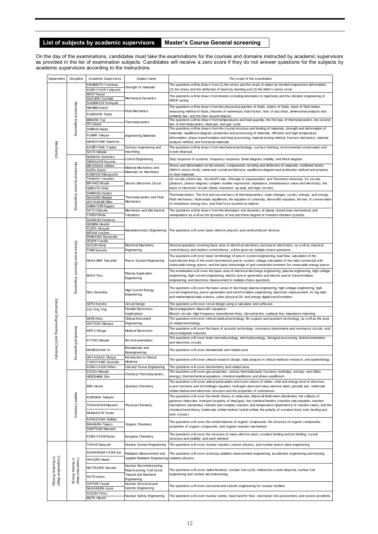### **List of subjects by academic supervisors Master's Course General screening**

On the day of the examinations, candidates must take the examinations for the courses and domains instructed by academic supervisors academic supervisors according to the instructions.

| Department                             | Discipline                             | Academic Supervisors                                          | Subject name                                      | The scope of the examination                                                                                                                                                                                                                                                                                     |  |
|----------------------------------------|----------------------------------------|---------------------------------------------------------------|---------------------------------------------------|------------------------------------------------------------------------------------------------------------------------------------------------------------------------------------------------------------------------------------------------------------------------------------------------------------------|--|
|                                        |                                        | KISHIMOTO Yoshinao<br>KOBAYASHI Yukiyoshi                     | Strength of materials                             | The questions will be drawn from (1) the stress and the strain of object by tensile/compressive deformation,<br>(2) the stress and the deflection of beam by bending and (3) the Mohr's stress circle.                                                                                                           |  |
|                                        |                                        | <b>MAKI Tetsuo</b><br>SAKURAI Toshiaki<br>SUGIMACHI Toshiyuki | Mechanical Dynamics                               | The questions w ill be draw n from kinetics including kinematics in rigid-body and the vibration engineering of<br>MDOF spring.                                                                                                                                                                                  |  |
|                                        |                                        | NISHIBE Koichi                                                |                                                   | The questions will be drawn from the physical properties of fluids, statics of fluids, basis of fluid motion,                                                                                                                                                                                                    |  |
|                                        | Mechanical Engineering                 | FUJIWARA Tamio                                                | Fluid Mechanics                                   | measuring method of fluids, theories of momentum, fluid friction, flow of duct lines, dimensional analysis and                                                                                                                                                                                                   |  |
|                                        |                                        | MIHARA Yuji                                                   |                                                   | similarity law, and the flow around objects.<br>The questions will be drawn from temperatures and heat quantity, the first law of thermodynamics, the second                                                                                                                                                     |  |
|                                        |                                        | ITO Akemi                                                     | Thermodynamics                                    | law of thermodynamics, ideal gas, and gas cycle.<br>The questions will be drawn from the crystal structure and binding of materials, strength and deformation of                                                                                                                                                 |  |
|                                        |                                        | SHIRAKI Naoto<br>FUJIMA Takuya                                | <b>Engineering Materials</b>                      | materials, equilibrium diagram, production and processing of materials, diffusion and high-temperature                                                                                                                                                                                                           |  |
|                                        |                                        | MARUY AMA Satofumi                                            |                                                   | deformation, phase transformation and heat processing, material testing method, fracture mechanics, material<br>analysis method, and functional materials.                                                                                                                                                       |  |
| Mechanics                              |                                        | KAMEYAMA Yutaka                                               | Surface engineering and                           | The questions will be drawn from mechanical technology, surface finishing, environmental conservation and                                                                                                                                                                                                        |  |
|                                        |                                        | SATO Hideaki                                                  | machining                                         | w aste disposal.                                                                                                                                                                                                                                                                                                 |  |
|                                        |                                        | NONAKA Kenichiro<br>SEKIGUCHI Kazuma                          | Control Engineering                               | Step response of systems, frequency response, Bode diagram, stability, and block diagram.<br>Stress and deformation on the tension, compression, twisting and deflection of materials, combined stress                                                                                                           |  |
|                                        | Mechanical Systems Engineering         | MIYASAKA Akihiro<br>AKITA Koichi                              | Material Mechanics and<br>Materials for Machinery | (Mohr's stress circle), metal and crystal architecture, equilibrium diagram and production method and property                                                                                                                                                                                                   |  |
|                                        |                                        | KUMAGAI Masayoshi<br>TANAKA Yasuhiro                          |                                                   | of steel materials                                                                                                                                                                                                                                                                                               |  |
|                                        |                                        | <b>MIY AKE Hiroaki</b>                                        | Electric-Electronic Circuit                       | DC circuits (Ohm's law, Kirchhoff's law, Principle of superposition, and Thevenin's theorem), AC circuits<br>(phasors, phasor diagram, complex number expression, impedance, instantaneous value and electricity), the                                                                                           |  |
|                                        |                                        | <b>HIJIKATA Kimio</b>                                         |                                                   | basis of electronic circuits (diode, transistor, op-amp, and logic circuits).                                                                                                                                                                                                                                    |  |
|                                        |                                        | SHIMANO Kenjiro<br>NAGANO Hideaki                             | Thermodynamics and Fluid                          | Thermodynamics: The first and second law s of thermodynamics, state changes, cycles, entropy, and exergy.                                                                                                                                                                                                        |  |
|                                        |                                        | WATANABE Rikio                                                | Mechanics                                         | Fluid mechanics: Hydrostatic equilibrium, the equation of continuity, Bernoulli's equation, the law of conservation<br>of momentum, energy loss, and fluid force exerted on objects.                                                                                                                             |  |
|                                        |                                        | SHIRATORI Suguru<br>SATO Daisuke                              | Mechanics and Mechanical                          | The questions will be drawn from the kinematics and dynamics of planar closed-loop mechanisms and                                                                                                                                                                                                                |  |
|                                        |                                        | YABUI Shota                                                   | Vibrations                                        | manipulators as well as the dynamics of one and three-degree-of-freedom vibration systems.                                                                                                                                                                                                                       |  |
|                                        |                                        | SAWANO Kentarou<br>NOHIRA Hiroshi                             |                                                   |                                                                                                                                                                                                                                                                                                                  |  |
|                                        | Electrical and Electronic Engineering  | FUJITA Hiroyuki                                               | Nanoelectronics Engineering                       | The questions will cover basic electron physics and semiconductor devices.                                                                                                                                                                                                                                       |  |
|                                        |                                        |                                                               | MITANI Yuichiro<br><b>ISHIKAWA Ryousuke</b>       |                                                                                                                                                                                                                                                                                                                  |  |
|                                        |                                        | <b>HOSHI Yusuke</b>                                           |                                                   |                                                                                                                                                                                                                                                                                                                  |  |
|                                        |                                        | SUZUKI Kenji<br><b>TORII Susumu</b>                           | Electrical Machinery<br>Engineering               | Several questions covering basic area of electrical machinery and pow er electronics, as well as classical<br>control theory and modern control theory, w ill be given as multiple-choice questions.                                                                                                             |  |
|                                        |                                        |                                                               |                                                   | The questions will cover basic terminology of pow er system engineering, load-flow calculation of the                                                                                                                                                                                                            |  |
|                                        |                                        | NAKAJIMA Tatsuhito                                            | Pow er System Engineering                         | transmission lines of the trunk transmission pow er system, voltage calculation of the main connected with<br>renew able energy pow er, and the basic know ledge of grid connection inverters for renew able energy pow er.                                                                                      |  |
|                                        |                                        |                                                               | Plasma Application                                | The examination will cover the basic area of electrical discharge engineering, plasma engineering, high-voltage                                                                                                                                                                                                  |  |
|                                        |                                        | <b>IWAO</b> Toru                                              | Engineering                                       | engineering, high-current engineering, electric pow er generation and electric pow er transformation<br>engineering, and electronic measurement in multiple-choice questions.                                                                                                                                    |  |
|                                        |                                        | Nico Surantha                                                 | <b>High Current Energy</b><br>Engineering         | The questions will cover the basic areas of discharge plasma engineering, high-voltage engineering, high-<br>current engineering, pow er generation and transformation engineering, electronic measurement, AI, big data<br>and mathematical data science, cyber-physical DX, and energy digital transformation. |  |
|                                        |                                        | SETO Kenshu                                                   | Circuit Design                                    | The questions w ill cover circuit design using a calculator and softw are.                                                                                                                                                                                                                                       |  |
|                                        |                                        | Lim Ying Ying                                                 | Flexible Electronics                              | Electromagnetism: Maxw ell's equations                                                                                                                                                                                                                                                                           |  |
|                                        |                                        | MORI Akira                                                    | Applications<br>Clinical Instrument               | Electric circuits: high frequency transmission lines, microstrip line, coplanar line, impedance matching<br>The questions will cover clinical medical technology, life support and assistive technology, as well as the area                                                                                     |  |
|                                        |                                        | WATADA Masaya                                                 | Engineering                                       | of related technology.                                                                                                                                                                                                                                                                                           |  |
| Electrical Engineering and             | Biomedical                             | <b>KIRYU Shogo</b>                                            | <b>Medical Electronics</b>                        | The questions will cover the basis of acoustic technology, resonance phenomena and resonance circuits, and                                                                                                                                                                                                       |  |
|                                        |                                        |                                                               |                                                   | electromagnetic induction.<br>The questions will cover brain neurophysiology, electrophysiology, biosignal processing, bioinstrumentation,                                                                                                                                                                       |  |
|                                        | m                                      | KYOSO Masaki                                                  | <b>Bio Instrumentation</b>                        | and electronic circuits.                                                                                                                                                                                                                                                                                         |  |
|                                        |                                        | MOMOZAWA Ai                                                   | Biomaterials and<br>Bioengineering                | The questions will cover biomaterials and related area.                                                                                                                                                                                                                                                          |  |
| Chemistry                              | ngineering                             | HAYASAKA Shinya                                               | <b>Introduction to Clinical</b>                   | The questions will cover clinical research design, data analysis in clinical medicine research, and epidemiology.                                                                                                                                                                                                |  |
|                                        |                                        | YOKOYAMA Sousuke                                              | Medicine                                          |                                                                                                                                                                                                                                                                                                                  |  |
|                                        |                                        | KOBAY ASHI Chihiro<br>KOUZU Masato                            | Cell and Tissue Engineering                       | The questions will cover biochemistry and related area.<br>The questions will cover gas properties, various thermodynamic functions (enthalpy, entropy, and Gibbs                                                                                                                                                |  |
|                                        |                                        | <b>HIDESHIMA Sho</b>                                          | Chemical Thermodynamics                           | energy), thermochemical equations, chemical equilibrium, and phase equilibrium.                                                                                                                                                                                                                                  |  |
|                                        |                                        | EBA Hiromi                                                    | Quantum Chemistry                                 | The questions will cover optical particulates and w ave nature of matter, orbit and energy level of electrons,<br>w ave functions and Schrödinger equation, hydrogen atom and many-electron atom, periodic law, molecular                                                                                        |  |
|                                        | Applied Chemistry                      | KUROMA Takashi                                                |                                                   | orbital method and electronic structure and the properties of substances.<br>The questions will cover the kinetic theory of molecules (Maxw ell-Boltzmann distribution, the collision of                                                                                                                         |  |
|                                        |                                        | TAKAHASHI Masashi                                             | Physical Chemistry                                | gaseous molecules, transport property of ideal gas), the chemical kinetics (reaction rate equation, reaction<br>mechanism, elementary reaction and complex reaction, and temperature dependence of reaction rates), and the                                                                                      |  |
|                                        |                                        | MUNAKATA Fumio                                                |                                                   | chemical bond theory (molecular orbital method, hybrid orbital, the polarity of covalent bond, ionic binding and                                                                                                                                                                                                 |  |
|                                        |                                        | KANAZAWA Akihiko                                              |                                                   | ionic crystal.)                                                                                                                                                                                                                                                                                                  |  |
|                                        |                                        | <b>IWAMURA Takeru</b><br>SHIOTSUKI Masashi                    | Organic Chemistry                                 | The questions will cover the nomenclatures of organic compounds, the structure of organic compounds,<br>properties of organic compounds, and organic reaction mechanism.                                                                                                                                         |  |
|                                        |                                        | KOBAY ASHI Ryota                                              | Inorganic Chemistry                               | The questions will cover the structure of many-electron atom, covalent binding and ion binding, crystal<br>structure and stability, and each element.                                                                                                                                                            |  |
|                                        |                                        | TAKAKI Naoyuki                                                | Nuclear System Engineering                        | The questions will cover nuclear reaction, reactor physics, and nuclear pow er plant engineering.                                                                                                                                                                                                                |  |
|                                        |                                        | KAWARABAYASHI Jun                                             | Radiation Measurement and                         | The questions will cover izonizing radiation measurement engineering, accelerator engineering and ionizing                                                                                                                                                                                                       |  |
|                                        |                                        | HAGURA Naoto                                                  | Applied Radiation Engineering radiation physics.  |                                                                                                                                                                                                                                                                                                                  |  |
|                                        |                                        |                                                               | Nuclear Decommissioning,                          |                                                                                                                                                                                                                                                                                                                  |  |
|                                        |                                        | MATSUURA Haruaki                                              | Reprocessing, Fuel Cycle,                         | The questions will cover radiochemistry, nuclear fuel cycle, radioactive w aste disposal, nuclear fuel                                                                                                                                                                                                           |  |
| Cooperative Major<br>in Nuclear Energy | Cooperative Major<br>in Nuclear Energy | SATO Isamu                                                    | Topend and Backend<br>Engineering                 | engineering and nuclear decomissioning.                                                                                                                                                                                                                                                                          |  |
|                                        |                                        | OHTORI Yasuki                                                 | Nuclear Structural and                            | The questions w ill cover structural and seismic engineering for nuclear facilities                                                                                                                                                                                                                              |  |
|                                        |                                        | NAKAMURA Izumi                                                | Seismic Engineering                               |                                                                                                                                                                                                                                                                                                                  |  |
|                                        |                                        | SUZUKI Tohru<br>MUTA Hitoshi                                  | Nuclear Safety Engineering                        | The questions will cover nuclear safety, heat transfer flow, stochastic risk assessment, and severe accidents.                                                                                                                                                                                                   |  |
|                                        |                                        |                                                               |                                                   |                                                                                                                                                                                                                                                                                                                  |  |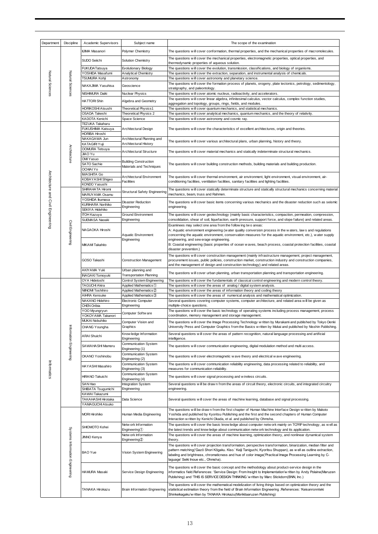| Department                         | <b>Discipline</b>               | Academic Supervisors                 | Subject name                                               | The scope of the examination                                                                                                                                                                                                                                                                                                                                                          |
|------------------------------------|---------------------------------|--------------------------------------|------------------------------------------------------------|---------------------------------------------------------------------------------------------------------------------------------------------------------------------------------------------------------------------------------------------------------------------------------------------------------------------------------------------------------------------------------------|
|                                    |                                 | IIJIMA Masanori                      | Polymer Chemistry                                          | The questions will cover conformation, thermal properties, and the mechanical properties of macromolecules.                                                                                                                                                                                                                                                                           |
|                                    |                                 | SUDO Seiichi                         | Solution Chemistry                                         | The questions will cover the mechanical properties, electromagnetic properties, optical properties, and<br>thermodynamic properties of aqueous solution.                                                                                                                                                                                                                              |
|                                    |                                 | <b>FUKUDA Tatsuya</b>                | <b>Evolutionary Biology</b>                                | The questions will cover the evolution, transmission, classifications, and biology of organisms.                                                                                                                                                                                                                                                                                      |
|                                    |                                 | YOSHIDA Masafumi                     | Analytical Chemistry                                       | The questions will cover the extraction, separation, and instrumental analysis of chemicals.                                                                                                                                                                                                                                                                                          |
|                                    |                                 | TSUMURA Kohji                        | Astronomy                                                  | The questions will cover astronomy and planetary science.                                                                                                                                                                                                                                                                                                                             |
|                                    |                                 |                                      |                                                            | The questions will cover the formation process of planets, orogeny, plate tectonics, petrology, sedimentology,                                                                                                                                                                                                                                                                        |
| Natural Sciences                   | Natural Sciences                | NAKAJIMA Yasuhisa                    | Geoscience                                                 | stratigraphy, and paleontology.                                                                                                                                                                                                                                                                                                                                                       |
|                                    |                                 | NISHIMURA Daiki                      | Nuclear Physics                                            | The questions will cover atomic nucleus, radioactivity, and accelerators.                                                                                                                                                                                                                                                                                                             |
|                                    |                                 | <b>HATTORI Shin</b>                  | Algebra and Geometry                                       | The questions w ill cover linear algebra, infinitesimal calculus, vector calculus, complex function studies,                                                                                                                                                                                                                                                                          |
|                                    |                                 | HORIKOSHI Atsushi                    |                                                            | aggregation and topology, groups, rings, fields, and modules.                                                                                                                                                                                                                                                                                                                         |
|                                    |                                 | OSADA Takeshi                        | Theoretical Physics1<br>Theoretical Physics 2              | The questions will cover quantum mechanics, and statistical mechanics.                                                                                                                                                                                                                                                                                                                |
|                                    |                                 | KADOTA Kenichi                       |                                                            | The questions will cover analytical mechanics, quantum mechanics, and the theory of relativity.                                                                                                                                                                                                                                                                                       |
|                                    |                                 | TEZUKA Takaharu                      | Space Science                                              | The questions will cover astronomy and cosmic ray.                                                                                                                                                                                                                                                                                                                                    |
|                                    |                                 | FUKUSHIMA Katsuya                    | Architectural Design                                       | The questions will cover the characteristics of excellent architectures, origin and theories.                                                                                                                                                                                                                                                                                         |
|                                    |                                 | HORIBA Hiroshi                       |                                                            |                                                                                                                                                                                                                                                                                                                                                                                       |
|                                    |                                 | NAKAGAWA Jun<br>KATAGIRI Yuji        | Architectural Planning and<br><b>Architectural History</b> | The questions will cover various architectural plans, urban planning, history and theory.                                                                                                                                                                                                                                                                                             |
|                                    |                                 | <b>OOMURA Tetsuya</b>                |                                                            |                                                                                                                                                                                                                                                                                                                                                                                       |
|                                    | Architecture                    | JIAO Yu                              | Architectural Structure                                    | The questions will cover material mechanics and statically indeterminate structural mechanics.                                                                                                                                                                                                                                                                                        |
|                                    |                                 | OMI Yasuo<br><b>SATO Sachie</b>      | <b>Building Construction</b>                               | The questions w ill cover building construction methods, building materials and building production.                                                                                                                                                                                                                                                                                  |
|                                    |                                 | <b>OCHIAI Yo</b>                     | Materials and Techniques                                   |                                                                                                                                                                                                                                                                                                                                                                                       |
|                                    |                                 | <b>MASHITA Go</b>                    |                                                            |                                                                                                                                                                                                                                                                                                                                                                                       |
|                                    |                                 | KOBAYASHI Shigeo                     | <b>Architectural Environment</b>                           | The questions w ill cover thermal environment, air environment, light environment, visual environment, air-                                                                                                                                                                                                                                                                           |
|                                    |                                 | KONDO Yasushi                        | Facilities                                                 | conditioning facilities, ventilation facilities, sanitary facilities and lighting facilities.                                                                                                                                                                                                                                                                                         |
| Architecture and Civil Engineering |                                 | SHIRAHATA Hiromi                     |                                                            | The questions will cover statically determinate structure and statically structural mechanics concerning material                                                                                                                                                                                                                                                                     |
|                                    |                                 | MARUYAMA Osamu                       | Structural Safety Engineering                              | mechanics, beam, truss and Rahmen.                                                                                                                                                                                                                                                                                                                                                    |
|                                    |                                 | YOSHIDA Ikumasa                      | Disaster Reduction                                         | The questions w ill cover basic items concerning various mechanics and the disaster reduction such as seismic                                                                                                                                                                                                                                                                         |
|                                    |                                 | KURIHARA Norihiko                    | Engineering                                                | engineering.                                                                                                                                                                                                                                                                                                                                                                          |
|                                    |                                 | SEKIYA Hidehiko                      |                                                            |                                                                                                                                                                                                                                                                                                                                                                                       |
|                                    |                                 | <b>TOH Kazuya</b>                    | Ground Environment                                         | The questions w ill cover geotechnology (mainly basic characteristics, compaction, permeation, compression,                                                                                                                                                                                                                                                                           |
|                                    |                                 | SUEMASA Naoaki                       | Engineering                                                | consolidation, shear of soil, liquefaction, earth pressure, support force, and slope failure) and related areas.                                                                                                                                                                                                                                                                      |
|                                    |                                 |                                      |                                                            | Examinees may select one area from the follow ing two areas:                                                                                                                                                                                                                                                                                                                          |
|                                    | <b>Civil Engineering</b>        | NAGAOKA Hiroshi                      |                                                            | A: Aquatic environment engineering (water quality conversion process in the waters, laws and regulations                                                                                                                                                                                                                                                                              |
|                                    |                                 |                                      | Aquatic Environment                                        | concerning the aquatic environment, conservation measures for the aquatic environment, etc.), water supply                                                                                                                                                                                                                                                                            |
|                                    |                                 |                                      | Engineering                                                | engineering, and sew erage engineering.<br>B: Coastal engineering (basic properties of ocean w aves, beach process, coastal protection facilities, coastal                                                                                                                                                                                                                            |
|                                    |                                 | MIKAMI Takahito                      |                                                            | disaster prevention.)                                                                                                                                                                                                                                                                                                                                                                 |
|                                    |                                 |                                      |                                                            | The questions will cover construction management (mainly infrastructure management, project management,                                                                                                                                                                                                                                                                               |
|                                    |                                 | GOSO Takashi                         | Construction Management                                    | procurement issues, public policies, construction market, construction industry and construction companies,                                                                                                                                                                                                                                                                           |
|                                    |                                 |                                      |                                                            | and the management of design and construction technology) and related areas.                                                                                                                                                                                                                                                                                                          |
|                                    |                                 | AKIYAMA Yuki                         | Urban planning and                                         |                                                                                                                                                                                                                                                                                                                                                                                       |
|                                    |                                 | INAGAKI Tomoyuki                     | <b>Transportation Planning</b>                             | The questions will cover urban planning, urban transportation planning and transportation engineering.                                                                                                                                                                                                                                                                                |
|                                    |                                 | <b>OYA Hidetoshi</b>                 | Control System Engineering                                 | The questions will cover the fundamentals of classical control engineering and modern control theory.                                                                                                                                                                                                                                                                                 |
|                                    |                                 | TAGUCHI Akira                        | Applied Mathematics(1)                                     | The questions will cover the areas of analog / digital system analysis.                                                                                                                                                                                                                                                                                                               |
|                                    |                                 | NIINOMI Toshihiro                    | Applied Mathematics 2                                      | The questions w ill cover the areas of information theory and coding theory                                                                                                                                                                                                                                                                                                           |
|                                    |                                 | AIHRA Kensuke                        | Applied Mathematics 3                                      | The questions will cover the areas of numerical analysis and mathematical optimization.                                                                                                                                                                                                                                                                                               |
|                                    |                                 | NAKANO Hidehiro                      | Electronic Computer                                        | Several questions covering computer systems, computer architecture, and related area will be given as                                                                                                                                                                                                                                                                                 |
|                                    |                                 | CHEN Oribia                          | Engineering                                                | multiple-choice questions.                                                                                                                                                                                                                                                                                                                                                            |
|                                    |                                 | YOO Myungryun<br>YOKOYAMA Takanori   | Computer Softw are                                         | The questions w ill cover the basic technology of operating systems including process management, process<br>coordination, memory management and storage management.                                                                                                                                                                                                                  |
|                                    |                                 | MUKAI Nobuhiko                       |                                                            |                                                                                                                                                                                                                                                                                                                                                                                       |
|                                    |                                 | CHANG Youngha                        | Computer Vision and<br>Graphics                            | The questions will cover the Image Processing Technology w ritten by Murakami and published by Tokyo Denki<br>University Press and Computer Graphics from the Basics w ritten by Mukai and published by Nisshin Publishing.                                                                                                                                                           |
|                                    |                                 |                                      | Know ledge Information                                     | Several questions will cover the areas of pattern recognition, natural language processing and artificial                                                                                                                                                                                                                                                                             |
|                                    |                                 | <b>ARAI Shuichi</b>                  | Engineering                                                | intelligence.                                                                                                                                                                                                                                                                                                                                                                         |
|                                    | Information Engineering         | SAWAHASHI Mamoru                     | Communication System<br>Engineering (1)                    | The questions will cover communication engineering, digital modulation method and multi access.                                                                                                                                                                                                                                                                                       |
|                                    |                                 | OKANO Yoshinobu                      | Communication System                                       | The questions will cover electromagnetic w ave theory and electrical w ave engineering.                                                                                                                                                                                                                                                                                               |
|                                    |                                 |                                      | Engineering (2)<br>Communication System                    | The questions w ill cover communication reliability engineering, data processing related to reliability, and                                                                                                                                                                                                                                                                          |
| Informatics                        |                                 | HAYASHI Masahiro                     | Engineering (3)                                            | measures for communication reliability.                                                                                                                                                                                                                                                                                                                                               |
|                                    |                                 | HIRANO Takuichi                      | Communication System                                       | The questions w ill cover signal processing and w ireless circuits.                                                                                                                                                                                                                                                                                                                   |
|                                    |                                 |                                      | Engineering (4)                                            |                                                                                                                                                                                                                                                                                                                                                                                       |
|                                    |                                 | SAN Hao                              | <b>Integration System</b>                                  | Several questions will be draw n from the areas of circuit theory, electronic circuits, and integrated circuitry                                                                                                                                                                                                                                                                      |
|                                    |                                 | SHIBATA Tsugumichi<br>KAWAI Takazumi | Engineering                                                | engineering.                                                                                                                                                                                                                                                                                                                                                                          |
|                                    |                                 | TAKAHASHI Hirotaka                   | Data Science                                               | Several questions will cover the areas of machine learning, database and signal processing.                                                                                                                                                                                                                                                                                           |
|                                    |                                 | YAMAGUCHI Atsuko                     |                                                            |                                                                                                                                                                                                                                                                                                                                                                                       |
|                                    |                                 |                                      |                                                            | The questions will be drawn from the first chapter of Human Machine Interface Design w ritten by Makoto                                                                                                                                                                                                                                                                               |
|                                    |                                 | <b>MORI Hirohiko</b>                 | Human Media Engineering                                    | Yoshida and published by Kyoritsu Publishing and the first and the second chapters of Human Computer                                                                                                                                                                                                                                                                                  |
|                                    |                                 |                                      |                                                            | Interaction w ritten by Kenichi Okada, et al. and published by Ohmsha.                                                                                                                                                                                                                                                                                                                |
|                                    |                                 | SHIOMOTO Kohei                       | Netw ork Information<br>Engineering <sup>1</sup>           | The questions will cover the basic know ledge about computer netw ork mainly on TCP/IP technology, as well as<br>the latest trends and know ledge about communication netw ork technology and its application.                                                                                                                                                                        |
|                                    |                                 | JINNO Kenya                          | Netw ork Information                                       | The questions will cover the areas of machine learning, optimization theory, and nonlinear dynamical system                                                                                                                                                                                                                                                                           |
|                                    |                                 |                                      | Engineering②                                               | theory.                                                                                                                                                                                                                                                                                                                                                                               |
|                                    | Systems Information Engineering | <b>BAO</b> Yue                       | Vision System Engineering                                  | The questions will cover projection transformation, perspective transformation, binarization, median filter and<br>pattern matching('Gazō Shori Kōgaku. Kiso.' Keiji Taniguchi, Kyoritsu Shuppan), as w ell as outline extraction,<br>labeling and brightness, chromaticness and hue of color image('Practical Image Processing Learning by C-<br>laguage' Seiki Inoue etc., Ohmsha). |
|                                    |                                 | HAMURA Masaki                        | Service Design Engineering                                 | The questions will cover the basic concept and the methodology about product-service design in the<br>informatics field.References: 'Service Design: From Insight to Implementation'w ritten by Andy Polaine(Maruzen<br>Publishing) and 'THIS IS SERVICE DESIGN THINKING.'w ritten by Marc Stickdorn(BNN, Inc.)                                                                       |
|                                    |                                 | TANAKA Hirokazu                      | Brain Information Engneering                               | The questions w ill cover the mathematical modelization of living things based on optimization theory and the<br>statistical estimation theory from the field of Brain Information Engneering .References: 'Keisanronnteki<br>Shinkeikagaku'w ritten by TANAKA Hirokazu(Morikitaaruzen Publishing)                                                                                    |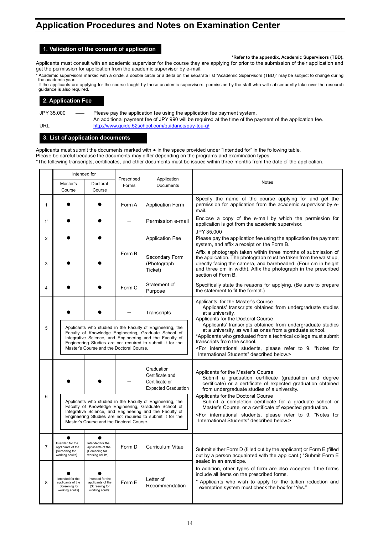### **Application Procedures and Notes on Examination Center**

### **1. Validation of the consent of application**

#### **\*Refer to the appendix, Academic Supervisors (TBD).**

Applicants must consult with an academic supervisor for the course they are applying for prior to the submission of their application and get the permission for application from the academic supervisor by e-mail.

Academic supervisors marked with a circle, a double circle or a delta on the separate list "Academic Supervisors (TBD)" may be subject to change during the academic year.

If the applicants are applying for the course taught by these academic supervisors, permission by the staff who will subsequently take over the research guidance is also required.

#### **2. Application Fee**

JPY 35,000 — Please pay the application fee using the application fee payment system. An additional payment fee of JPY 990 will be required at the time of the payment of the application fee. URL <http://www.guide.52school.com/guidance/pay-tcu-g/>

#### **3. List of application documents**

Applicants must submit the documents marked with ● in the space provided under "Intended for" in the following table. Please be careful because the documents may differ depending on the programs and examination types. \*The following transcripts, certificates, and other documents must be issued within three months from the date of the application.

|    | Intended for                                                               |                                                                                                                                                                                                                                                                                       |                                                                                                                                                                                                                                                                                       |                                                                               |                                                                                                                                                                                                                                                                                                                                                                       |  |
|----|----------------------------------------------------------------------------|---------------------------------------------------------------------------------------------------------------------------------------------------------------------------------------------------------------------------------------------------------------------------------------|---------------------------------------------------------------------------------------------------------------------------------------------------------------------------------------------------------------------------------------------------------------------------------------|-------------------------------------------------------------------------------|-----------------------------------------------------------------------------------------------------------------------------------------------------------------------------------------------------------------------------------------------------------------------------------------------------------------------------------------------------------------------|--|
|    | Master's<br>Course                                                         | Doctoral<br>Course                                                                                                                                                                                                                                                                    | Prescribed<br>Forms                                                                                                                                                                                                                                                                   | Application<br>Documents                                                      | <b>Notes</b>                                                                                                                                                                                                                                                                                                                                                          |  |
| 1  |                                                                            |                                                                                                                                                                                                                                                                                       | Form A                                                                                                                                                                                                                                                                                | <b>Application Form</b>                                                       | Specify the name of the course applying for and get the<br>permission for application from the academic supervisor by e-<br>mail.                                                                                                                                                                                                                                     |  |
| 1' |                                                                            |                                                                                                                                                                                                                                                                                       |                                                                                                                                                                                                                                                                                       | Permission e-mail                                                             | Enclose a copy of the e-mail by which the permission for<br>application is got from the academic supervisor.                                                                                                                                                                                                                                                          |  |
| 2  |                                                                            |                                                                                                                                                                                                                                                                                       |                                                                                                                                                                                                                                                                                       | <b>Application Fee</b>                                                        | JPY 35,000<br>Please pay the application fee using the application fee payment<br>system, and affix a receipt on the Form B.                                                                                                                                                                                                                                          |  |
| 3  |                                                                            |                                                                                                                                                                                                                                                                                       | Form B                                                                                                                                                                                                                                                                                | Secondary Form<br>(Photograph<br>Ticket)                                      | Affix a photograph taken within three months of submission of<br>the application. The photograph must be taken from the waist up,<br>directly facing the camera, and bareheaded. (Four cm in height<br>and three cm in width). Affix the photograph in the prescribed<br>section of Form B.                                                                           |  |
| 4  |                                                                            |                                                                                                                                                                                                                                                                                       | Form C                                                                                                                                                                                                                                                                                | Statement of<br>Purpose                                                       | Specifically state the reasons for applying. (Be sure to prepare<br>the statement to fit the format.)                                                                                                                                                                                                                                                                 |  |
|    |                                                                            |                                                                                                                                                                                                                                                                                       |                                                                                                                                                                                                                                                                                       | Transcripts                                                                   | Applicants for the Master's Course<br>Applicants' transcripts obtained from undergraduate studies<br>at a university.<br>Applicants for the Doctoral Course                                                                                                                                                                                                           |  |
| 5  |                                                                            | Applicants who studied in the Faculty of Engineering, the<br>Faculty of Knowledge Engineering, Graduate School of<br>Integrative Science, and Engineering and the Faculty of<br>Engineering Studies are not required to submit it for the<br>Master's Course and the Doctoral Course. |                                                                                                                                                                                                                                                                                       |                                                                               | Applicants' transcripts obtained from undergraduate studies<br>at a university, as well as ones from a graduate school.<br>*Applicants who graduated from a technical college must submit<br>transcripts from the school.<br><for "notes="" 9.="" for<br="" international="" please="" refer="" students,="" to="">International Students" described below.&gt;</for> |  |
|    |                                                                            |                                                                                                                                                                                                                                                                                       |                                                                                                                                                                                                                                                                                       | Graduation<br>Certificate and<br>Certificate or<br><b>Expected Graduation</b> | Applicants for the Master's Course<br>Submit a graduation certificate (graduation and degree<br>certificate) or a certificate of expected graduation obtained<br>from undergraduate studies of a university.                                                                                                                                                          |  |
| 6  |                                                                            |                                                                                                                                                                                                                                                                                       | Applicants who studied in the Faculty of Engineering, the<br>Faculty of Knowledge Engineering, Graduate School of<br>Integrative Science, and Engineering and the Faculty of<br>Engineering Studies are not required to submit it for the<br>Master's Course and the Doctoral Course. |                                                                               | Applicants for the Doctoral Course<br>Submit a completion certificate for a graduate school or<br>Master's Course, or a certificate of expected graduation.<br><for "notes="" 9.="" for<br="" international="" please="" refer="" students,="" to="">International Students" described below.&gt;</for>                                                               |  |
| 7  | Intended for the<br>applicants of the<br>[Screening for<br>working adults] | Intended for the<br>applicants of the<br>[Screening for<br>working adults]                                                                                                                                                                                                            | Form D                                                                                                                                                                                                                                                                                | Curriculum Vitae                                                              | Submit either Form D (filled out by the applicant) or Form E (filled<br>out by a person acquainted with the applicant.) *Submit Form E<br>sealed in an envelope.                                                                                                                                                                                                      |  |
| 8  | Intended for the<br>applicants of the<br>[Screening for<br>working adults] | Intended for the<br>applicants of the<br>[Screening for<br>working adults]                                                                                                                                                                                                            | Form E                                                                                                                                                                                                                                                                                | Letter of<br>Recommendation                                                   | In addition, other types of form are also accepted if the forms<br>include all items on the prescribed forms.<br>* Applicants who wish to apply for the tuition reduction and<br>exemption system must check the box for "Yes."                                                                                                                                       |  |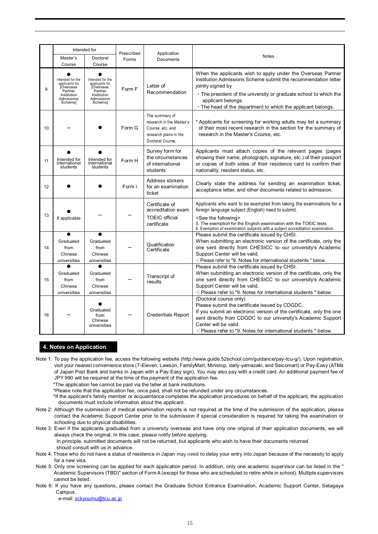|    | Intended for                                                                                                       |                                                                                                              | Prescribed |                                                                                                             |                                                                                                                                                                                                                                                                                                                                   |
|----|--------------------------------------------------------------------------------------------------------------------|--------------------------------------------------------------------------------------------------------------|------------|-------------------------------------------------------------------------------------------------------------|-----------------------------------------------------------------------------------------------------------------------------------------------------------------------------------------------------------------------------------------------------------------------------------------------------------------------------------|
|    | Master's                                                                                                           | Doctoral                                                                                                     | Forms      | Application<br>Documents                                                                                    | <b>Notes</b>                                                                                                                                                                                                                                                                                                                      |
| 9  | Course<br>Intended for the<br>applicants for<br><b>Overseas</b><br>Partner<br>Institution<br>Admissions<br>Schemel | Course<br>Intended for the<br>applicants for<br>ÍÓverseas<br>Partner<br>Institution<br>Admissions<br>Schemel | Form F     | Letter of<br>Recommendation                                                                                 | When the applicants wish to apply under the Overseas Partner<br>Institution Admissions Scheme submit the recommendation letter<br>jointly signed by<br>• The president of the university or graduate school to which the<br>applicant belongs.<br>· The head of the department to which the applicant belongs.                    |
| 10 |                                                                                                                    |                                                                                                              | Form G     | The summary of<br>research in the Master's<br>Course, etc. and<br>research plans in the<br>Doctoral Course. | * Applicants for screening for working adults may list a summary<br>of their most recent research in the section for the summary of<br>research in the Master's Course, etc.                                                                                                                                                      |
| 11 | Intended for<br>international<br>students                                                                          | Intended for<br>international<br>students                                                                    | Form H     | Survey form for<br>the circumstances<br>of international<br>students                                        | Applicants must attach copies of the relevant pages (pages<br>showing their name, photograph, signature, etc.) of their passport<br>or copies of both sides of their residence card to confirm their<br>nationality, resident status, etc.                                                                                        |
| 12 |                                                                                                                    |                                                                                                              | Form I     | Address stickers<br>for an examination<br>ticket                                                            | Clearly state the address for sending an examination ticket,<br>acceptance letter, and other documents related to admission.                                                                                                                                                                                                      |
| 13 | If applicable                                                                                                      |                                                                                                              |            | Certificate of<br>accreditation exam<br><b>TOEIC</b> official<br>certificate                                | Applicants who want to be exempted from taking the examinations for a<br>foreign language subject (English) need to submit.<br><see following="" the=""><br/>5. The exemption for the English examination with the TOEIC tests<br/>6. Exemption of examination subjects with a subject accreditation examination</see>            |
| 14 | Graduated<br>from<br>Chinese<br>universities                                                                       | Graduated<br>from<br>Chinese<br>universities                                                                 |            | Qualification<br>Certificate                                                                                | Please submit the certificate issued by CHSI.<br>When submitting an electronic version of the certificate, only the<br>one sent directly from CHESICC to our university's Academic<br>Support Center will be valid.<br><please "="" "9.="" below.<="" for="" international="" notes="" refer="" students="" td="" to=""></please> |
| 15 | Graduated<br>from<br>Chinese<br>universities                                                                       | Graduated<br>from<br>Chinese<br>universities                                                                 |            | Transcript of<br>results                                                                                    | Please submit the certificate issued by CHSI.<br>When submitting an electronic version of the certificate, only the<br>one sent directly from CHESICC to our university's Academic<br>Support Center will be valid.<br><please "="" "9.="" below.<="" for="" international="" notes="" refer="" students="" td="" to=""></please> |
| 16 |                                                                                                                    | Graduated<br>from<br>Chinese<br>universities                                                                 |            | <b>Credentials Report</b>                                                                                   | (Doctoral course only)<br>Please submit the certificate issued by CDGDC.<br>If you submit an electronic version of the certificate, only the one<br>sent directly from CDGDC to our university's Academic Support<br>Center will be valid.<br>$\leq$ Please refer to "9. Notes for international students " below.                |

#### **4. Notes on Application**

- Note 1: To pay the application fee, access the following website (http://www.guide.52school.com/guidance/pay-tcu-g/). Upon registration, visit your nearest convenience store (7-Eleven, Lawson, FamilyMart, Ministop, daily-yamazaki, and Seicomart) or Pay-Easy (ATMs of Japan Post Bank and banks in Japan with a Pay-Easy sign). You may also pay with a credit card. An additional payment fee of JPY 990 will be required at the time of the payment of the application fee.
	- \*The application fee cannot be paid via the teller at bank institutions.
	- \*Please note that the application fee, once paid, shall not be refunded under any circumstances.
	- \*If the applicant's family member or acquaintance completes the application procedures on behalf of the applicant, the application documents must include information about the applicant.
- Note 2: Although the submission of medical examination reports is not required at the time of the submission of the application, please contact the Academic Support Center prior to the submission if special consideration is required for taking the examination or schooling due to physical disabilities.
- Note 3: Even if the applicants graduated from a university overseas and have only one original of their application documents, we will always check the original. In this case, please notify before applying.
	- In principle, submitted documents will not be returned, but applicants who wish to have their documents returned should consult with us in advance.
- Note 4: Those who do not have a status of residence in Japan may need to delay your entry into Japan because of the necessity to apply for a new visa.
- Note 5: Only one screening can be applied for each application period. In addition, only one academic supervisor can be listed in the " Academic Supervisors (TBD)" section of Form A (except for those who are scheduled to retire while in school). Multiple supervisors cannot be listed.
- Note 6: If you have any questions, please contact the Graduate School Entrance Examination, Academic Support Center, Setagaya **Campus**

e-mail: [sckyoumu@tcu.ac.jp](mailto:sckyoumu@tcu.ac.jp)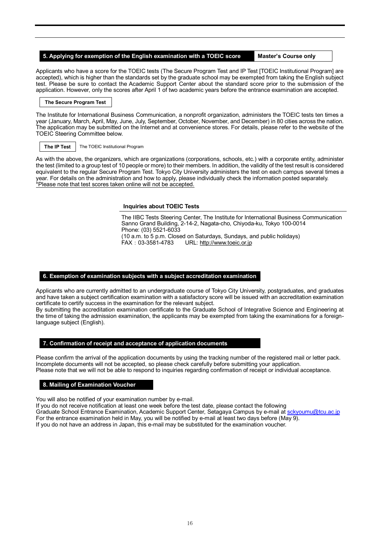#### **5. Applying for exemption of the English examination with a TOEIC score Master's Course only**

Applicants who have a score for the TOEIC tests (The Secure Program Test and IP Test [TOEIC Institutional Program] are accepted), which is higher than the standards set by the graduate school may be exempted from taking the English subject test. Please be sure to contact the Academic Support Center about the standard score prior to the submission of the application. However, only the scores after April 1 of two academic years before the entrance examination are accepted.

#### **The Secure Program Test**

The Institute for International Business Communication, a nonprofit organization, administers the TOEIC tests ten times a year (January, March, April, May, June, July, September, October, November, and December) in 80 cities across the nation. The application may be submitted on the Internet and at convenience stores. For details, please refer to the website of the TOEIC Steering Committee below.

**The IP Test** The TOEIC Institutional Program

As with the above, the organizers, which are organizations (corporations, schools, etc.) with a corporate entity, administer the test (limited to a group test of 10 people or more) to their members. In addition, the validity of the test result is considered equivalent to the regular Secure Program Test. Tokyo City University administers the test on each campus several times a year. For details on the administration and how to apply, please individually check the information posted separately. \*Please note that test scores taken online will not be accepted.

#### **Inquiries about TOEIC Tests**

The IIBC Tests Steering Center, The Institute for International Business Communication Sanno Grand Building, 2-14-2, Nagata-cho, Chiyoda-ku, Tokyo 100-0014 Phone: (03) 5521-6033 (10 a.m. to 5 p.m. Closed on Saturdays, Sundays, and public holidays) FAX:03-3581-4783 URL[: http://www.toeic.or.jp](http://www.toeic.or.jp/)

#### **6. Exemption of examination subjects with a subject accreditation examination**

Applicants who are currently admitted to an undergraduate course of Tokyo City University, postgraduates, and graduates and have taken a subject certification examination with a satisfactory score will be issued with an accreditation examination certificate to certify success in the examination for the relevant subject.

By submitting the accreditation examination certificate to the Graduate School of Integrative Science and Engineering at the time of taking the admission examination, the applicants may be exempted from taking the examinations for a foreignlanguage subject (English).

#### **7. Confirmation of receipt and acceptance of application documents**

Please confirm the arrival of the application documents by using the tracking number of the registered mail or letter pack. Incomplete documents will not be accepted, so please check carefully before submitting your application. Please note that we will not be able to respond to inquiries regarding confirmation of receipt or individual acceptance.

#### **8. Mailing of Examination Voucher**

You will also be notified of your examination number by e-mail.

If you do not receive notification at least one week before the test date, please contact the following Graduate School Entrance Examination, Academic Support Center, Setagaya Campus by e-mail at [sckyoumu@tcu.ac.jp](mailto:sckyoumu@tcu.ac.jp) For the entrance examination held in May, you will be notified by e-mail at least two days before (May 9). If you do not have an address in Japan, this e-mail may be substituted for the examination voucher.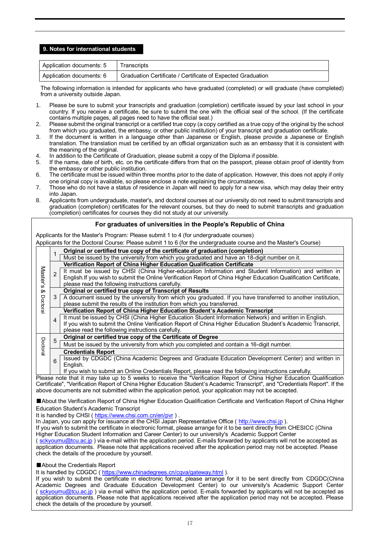#### **9. Notes for international students**

| Application documents: 5 | Transcripts                                                 |
|--------------------------|-------------------------------------------------------------|
| Application documents: 6 | Graduation Certificate / Certificate of Expected Graduation |

The following information is intended for applicants who have graduated (completed) or will graduate (have completed) from a university outside Japan.

- 1. Please be sure to submit your transcripts and graduation (completion) certificate issued by your last school in your country. If you receive a certificate, be sure to submit the one with the official seal of the school. (If the certificate contains multiple pages, all pages need to have the official seal.)
- 2. Please submit the original transcript or a certified true copy (a copy certified as a true copy of the original by the school from which you graduated, the embassy, or other public institution) of your transcript and graduation certificate.
- 3. If the document is written in a language other than Japanese or English, please provide a Japanese or English translation. The translation must be certified by an official organization such as an embassy that it is consistent with the meaning of the original.
- 4. In addition to the Certificate of Graduation, please submit a copy of the Diploma if possible.
- 5. If the name, date of birth, etc. on the certificate differs from that on the passport, please obtain proof of identity from the embassy or other public institution.
- 6. The certificate must be issued within three months prior to the date of application. However, this does not apply if only one original copy is available, so please enclose a note explaining the circumstances.
- 7. Those who do not have a status of residence in Japan will need to apply for a new visa, which may delay their entry into Japan.
- 8. Applicants from undergraduate, master's, and doctoral courses at our university do not need to submit transcripts and graduation (completion) certificates for the relevant courses, but they do need to submit transcripts and graduation (completion) certificates for courses they did not study at our university.

#### **For graduates of universities in the People's Republic of China**

Applicants for the Master's Program: Please submit 1 to 4 (for undergraduate courses)

Applicants for the Doctoral Course: Please submit 1 to 6 (for the undergraduate course and the Master's Course)

|               |                | Original or certified true copy of the certificate of graduation (completion)                                                                                                                                              |
|---------------|----------------|----------------------------------------------------------------------------------------------------------------------------------------------------------------------------------------------------------------------------|
|               |                | Must be issued by the university from which you graduated and have an 18-digit number on it.                                                                                                                               |
| <b>Master</b> |                | Verification Report of China Higher Education Qualification Certificate                                                                                                                                                    |
|               |                | It must be issued by CHSI (China Higher-education Information and Student Information) and written in<br>English.If you wish to submit the Online Verification Report of China Higher Education Qualification Certificate, |
| w             |                | please read the following instructions carefully.                                                                                                                                                                          |
| ≫             |                | Original or certified true copy of Transcript of Results                                                                                                                                                                   |
|               | 3              | A document issued by the university from which you graduated. If you have transferred to another institution,                                                                                                              |
| Doctora       |                | please submit the results of the institution from which you transferred.                                                                                                                                                   |
|               |                | Verification Report of China Higher Education Student's Academic Transcript                                                                                                                                                |
|               | $\overline{4}$ | It must be issued by CHSI (China Higher Education Student Information Network) and written in English.                                                                                                                     |
|               |                | If you wish to submit the Online Verification Report of China Higher Education Student's Academic Transcript,                                                                                                              |
|               |                | please read the following instructions carefully.                                                                                                                                                                          |
|               | 5              | Original or certified true copy of the Certificate of Degree                                                                                                                                                               |
| Doctora       |                | Must be issued by the university from which you completed and contain a 16-digit number.                                                                                                                                   |
|               |                | <b>Credentials Report</b>                                                                                                                                                                                                  |
|               | 6              | Issued by CDGDC (China Academic Degrees and Graduate Education Development Center) and written in                                                                                                                          |
|               |                | English.                                                                                                                                                                                                                   |
|               |                | If you wish to submit an Online Credentials Report, please read the following instructions carefully.                                                                                                                      |

Please note that it may take up to 5 weeks to receive the "Verification Report of China Higher Education Qualification Certificate", "Verification Report of China Higher Education Student's Academic Transcript", and "Credentials Report". If the above documents are not submitted within the application period, your application may not be accepted.

■About the Verification Report of China Higher Education Qualification Certificate and Verification Report of China Higher Education Student's Academic Transcript

It is handled by CHSI ( <https://www.chsi.com.cn/en/pvr> ) .

In Japan, you can apply for issuance at the CHSI Japan Representative Office ( [http://www.chsi.jp](http://www.chsi.jp/) ).

If you wish to submit the certificate in electronic format, please arrange for it to be sent directly from CHESICC (China Higher Education Student Information and Career Center) to our university's Academic Support Center

( [sckyoumu@tcu.ac.jp](mailto:sckyoumu@tcu.ac.jp) ) via e-mail within the application period. E-mails forwarded by applicants will not be accepted as application documents. Please note that applications received after the application period may not be accepted. Please check the details of the procedure by yourself.

■About the Credentials Report

It is handled by CDGDC ( <https://www.chinadegrees.cn/cqva/gateway.html> ).

If you wish to submit the certificate in electronic format, please arrange for it to be sent directly from CDGDC(China Academic Degrees and Graduate Education Development Center) to our university's Academic Support Center ( [sckyoumu@tcu.ac.jp](mailto:sckyoumu@tcu.ac.jp) ) via e-mail within the application period. E-mails forwarded by applicants will not be accepted as application documents. Please note that applications received after the application period may not be accepted. Please check the details of the procedure by yourself.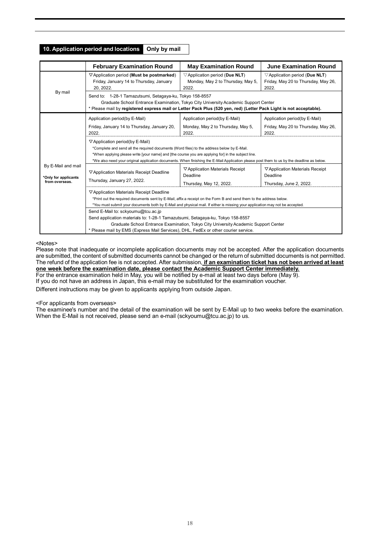#### **10. Application period and locations Only by mail**

|                                                              | <b>February Examination Round</b>                                                                                                                                                                                                                                                                                                                                                       | <b>May Examination Round</b>                                                                                                                                                                                                                                          | <b>June Examination Round</b>                                                                |  |  |  |  |
|--------------------------------------------------------------|-----------------------------------------------------------------------------------------------------------------------------------------------------------------------------------------------------------------------------------------------------------------------------------------------------------------------------------------------------------------------------------------|-----------------------------------------------------------------------------------------------------------------------------------------------------------------------------------------------------------------------------------------------------------------------|----------------------------------------------------------------------------------------------|--|--|--|--|
|                                                              | ▽ Application period (Must be postmarked)<br>Friday, January 14 to Thursday, January<br>20.2022.                                                                                                                                                                                                                                                                                        | $\triangledown$ Application period (Due NLT)<br>Monday, May 2 to Thursday, May 5,<br>2022.                                                                                                                                                                            | $\triangledown$ Application period (Due NLT)<br>Friday, May 20 to Thursday, May 26,<br>2022. |  |  |  |  |
| By mail                                                      |                                                                                                                                                                                                                                                                                                                                                                                         | Send to: 1-28-1 Tamazutsumi, Setagaya-ku, Tokyo 158-8557<br>Graduate School Entrance Examination, Tokyo City University Academic Support Center<br>* Please mail by registered express mail or Letter Pack Plus (520 yen, red) (Letter Pack Light is not acceptable). |                                                                                              |  |  |  |  |
|                                                              | Application period(by E-Mail)                                                                                                                                                                                                                                                                                                                                                           | Application period(by E-Mail)                                                                                                                                                                                                                                         | Application period(by E-Mail)                                                                |  |  |  |  |
|                                                              | Friday, January 14 to Thursday, January 20,<br>2022.                                                                                                                                                                                                                                                                                                                                    | Monday, May 2 to Thursday, May 5,<br>2022.                                                                                                                                                                                                                            | Friday, May 20 to Thursday, May 26,<br>2022.                                                 |  |  |  |  |
|                                                              | $\nabla$ Application period(by E-Mail)<br>*Complete and send all the required documents (Word files) to the address below by E-Mail.<br>*When applying please write [your name] and [the course you are applying for] in the subject line.<br>*We also need your original application documents. When finishing the E-Mail Application please post them to us by the deadline as below. |                                                                                                                                                                                                                                                                       |                                                                                              |  |  |  |  |
| By E-Mail and mail<br>*Only for applicants<br>from overseas. | ▽ Application Materials Receipt<br>$\nabla$ Application Materials Receipt<br>▽ Application Materials Receipt Deadline<br>Deadline<br>Deadline<br>Thursday, January 27, 2022.<br>Thursday, May 12, 2022.<br>Thursday, June 2, 2022.                                                                                                                                                      |                                                                                                                                                                                                                                                                       |                                                                                              |  |  |  |  |
|                                                              | ▽ Application Materials Receipt Deadline<br>*Print out the required documents sent by E-Mail, affix a receipt on the Form B and send them to the address below.<br>*You must submit your documents both by E-Mail and physical mail. If either is missing your application may not be accepted.                                                                                         |                                                                                                                                                                                                                                                                       |                                                                                              |  |  |  |  |
|                                                              | Send E-Mail to: sckyoumu@tcu.ac.jp<br>Send application materials to: 1-28-1 Tamazutsumi, Setagaya-ku, Tokyo 158-8557<br>Graduate School Entrance Examination, Tokyo City University Academic Support Center<br>* Please mail by EMS (Express Mail Services), DHL, FedEx or other courier service.                                                                                       |                                                                                                                                                                                                                                                                       |                                                                                              |  |  |  |  |

#### <Notes>

Please note that inadequate or incomplete application documents may not be accepted. After the application documents are submitted, the content of submitted documents cannot be changed or the return of submitted documents is not permitted. The refund of the application fee is not accepted. After submission, **if an examination ticket has not been arrived at least one week before the examination date, please contact the Academic Support Center immediately.** For the entrance examination held in May, you will be notified by e-mail at least two days before (May 9).

If you do not have an address in Japan, this e-mail may be substituted for the examination voucher.

Different instructions may be given to applicants applying from outside Japan.

#### <For applicants from overseas>

The examinee's number and the detail of the examination will be sent by E-Mail up to two weeks before the examination. When the E-Mail is not received, please send an e-mail (sckyoumu@tcu.ac.jp) to us.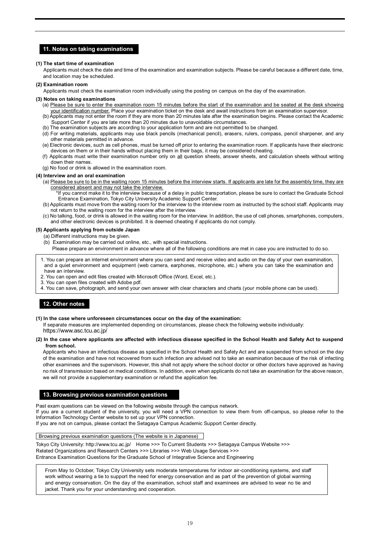#### **11. Notes on taking examinations**

#### **(1) The start time of examination**

 Applicants must check the date and time of the examination and examination subjects. Please be careful because a different date, time, and location may be scheduled.

#### **(2) Examination room**

Applicants must check the examination room individually using the posting on campus on the day of the examination.

#### **(3) Notes on taking examinations**

- (a) Please be sure to enter the examination room 15 minutes before the start of the examination and be seated at the desk showing
- your identification number. Place your examination ticket on the desk and await instructions from an examination supervisor. (b) Applicants may not enter the room if they are more than 20 minutes late after the examination begins. Please contact the Academic Support Center if you are late more than 20 minutes due to unavoidable circumstances.
- (b) The examination subjects are according to your application form and are not permitted to be changed.
- (d) For writing materials, applicants may use black pencils (mechanical pencil), erasers, rulers, compass, pencil sharpener, and any other materials permitted in advance.
- (e) Electronic devices, such as cell phones, must be turned off prior to entering the examination room. If applicants have their electronic devices on them or in their hands without placing them in their bags, it may be considered cheating.
- (f) Applicants must write their examination number only on all question sheets, answer sheets, and calculation sheets without writing down their names.
- (g) No food or drink is allowed in the examination room.

#### **(4) Interview and an oral examination**

- (a) Please be sure to be in the waiting room 15 minutes before the interview starts. If applicants are late for the assembly time, they are considered absent and may not take the interview.
	- \*If you cannot make it to the interview because of a delay in public transportation, please be sure to contact the Graduate School Entrance Examination, Tokyo City University Academic Support Center.
- (b) Applicants must move from the waiting room for the interview to the interview room as instructed by the school staff. Applicants may not return to the waiting room for the interview after the interview.
- (c) No talking, food, or drink is allowed in the waiting room for the interview. In addition, the use of cell phones, smartphones, computers, and other electronic devices is prohibited. It is deemed cheating if applicants do not comply.

#### **(5) Applicants applying from outside Japan**

- (a) Different instructions may be given.
- (b) Examination may be carried out online, etc., with special instructions.
	- Please prepare an environment in advance where all of the following conditions are met in case you are instructed to do so.
- 1. You can prepare an internet environment where you can send and receive video and audio on the day of your own examination, and a quiet environment and equipment (web camera, earphones, microphone, etc.) where you can take the examination and have an interview.
- 2. You can open and edit files created with Microsoft Office (Word, Excel, etc.).
- 3. You can open files created with Adobe pdf.
- 4. You can save, photograph, and send your own answer with clear characters and charts (your mobile phone can be used).

#### **12. Other notes**

#### **(1) In the case where unforeseen circumstances occur on the day of the examination:**

If separate measures are implemented depending on circumstances, please check the following website individually: https://www.asc.tcu.ac.jp/

#### **(2) In the case where applicants are affected with infectious disease specified in the School Health and Safety Act to suspend from school.**

Applicants who have an infectious disease as specified in the School Health and Safety Act and are suspended from school on the day of the examination and have not recovered from such infection are advised not to take an examination because of the risk of infecting other examinees and the supervisors. However, this shall not apply where the school doctor or other doctors have approved as having no risk of transmission based on medical conditions. In addition, even when applicants do not take an examination for the above reason, we will not provide a supplementary examination or refund the application fee.

#### **13. Browsing previous examination questions**

Past exam questions can be viewed on the following website through the campus network.

If you are a current student of the university, you will need a VPN connection to view them from off-campus, so please refer to the Information Technology Center website to set up your VPN connection.

If you are not on campus, please contact the Setagaya Campus Academic Support Center directly.

Browsing previous examination questions (The website is in Japanese)

Tokyo City University:<http://www.tcu.ac.jp/>Home >>> To Current Students >>> Setagaya Campus Website >>> Related Organizations and Research Centers >>> Libraries >>> Web Usage Services >>> Entrance Examination Questions for the Graduate School of Integrative Science and Engineering

From May to October, Tokyo City University sets moderate temperatures for indoor air-conditioning systems, and staff work without wearing a tie to support the need for energy conservation and as part of the prevention of global warming and energy conservation. On the day of the examination, school staff and examinees are advised to wear no tie and jacket. Thank you for your understanding and cooperation.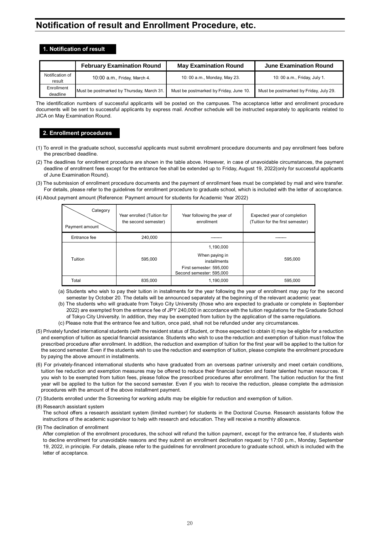## **Notification of result and Enrollment Procedure, etc.**

#### **1. Notification of result**

|                           | <b>February Examination Round</b>         | <b>May Examination Round</b>           | <b>June Examination Round</b>          |
|---------------------------|-------------------------------------------|----------------------------------------|----------------------------------------|
| Notification of<br>result | 10:00 a.m., Friday, March 4.              | 10: 00 a.m., Monday, May 23.           | 10: 00 $a.m.,$ Friday, July 1.         |
| Enrollment<br>deadline    | Must be postmarked by Thursday, March 31. | Must be postmarked by Friday, June 10. | Must be postmarked by Friday, July 29. |

The identification numbers of successful applicants will be posted on the campuses. The acceptance letter and enrollment procedure documents will be sent to successful applicants by express mail. Another schedule will be instructed separately to applicants related to JICA on May Examination Round.

#### **2. Enrollment procedures**

- (1) To enroll in the graduate school, successful applicants must submit enrollment procedure documents and pay enrollment fees before the prescribed deadline.
- (2) The deadlines for enrollment procedure are shown in the table above. However, in case of unavoidable circumstances, the payment deadline of enrollment fees except for the entrance fee shall be extended up to Friday, August 19, 2022(only for successful applicants of June Examination Round).
- (3) The submission of enrollment procedure documents and the payment of enrollment fees must be completed by mail and wire transfer. For details, please refer to the guidelines for enrollment procedure to graduate school, which is included with the letter of acceptance.
- (4) About payment amount (Reference: Payment amount for students for Academic Year 2022)

| Category<br>Payment amount | Year enrolled (Tuition for<br>the second semester) | Year following the year of<br>enrollment                                                           | Expected year of completion<br>(Tuition for the first semester) |
|----------------------------|----------------------------------------------------|----------------------------------------------------------------------------------------------------|-----------------------------------------------------------------|
| Entrance fee               | 240,000                                            |                                                                                                    |                                                                 |
| Tuition                    | 595.000                                            | 1,190,000<br>When paying in<br>installments<br>First semester: 595,000<br>Second semester: 595,000 | 595.000                                                         |
| Total                      | 835,000                                            | 1,190,000                                                                                          | 595.000                                                         |

- (a) Students who wish to pay their tuition in installments for the year following the year of enrollment may pay for the second semester by October 20. The details will be announced separately at the beginning of the relevant academic year.
- (b) The students who will graduate from Tokyo City University (those who are expected to graduate or complete in September 2022) are exempted from the entrance fee of JPY 240,000 in accordance with the tuition regulations for the Graduate School of Tokyo City University. In addition, they may be exempted from tuition by the application of the same regulations.
- (c) Please note that the entrance fee and tuition, once paid, shall not be refunded under any circumstances.
- (5) Privately funded international students (with the resident status of Student, or those expected to obtain it) may be eligible for a reduction and exemption of tuition as special financial assistance. Students who wish to use the reduction and exemption of tuition must follow the prescribed procedure after enrollment. In addition, the reduction and exemption of tuition for the first year will be applied to the tuition for the second semester. Even if the students wish to use the reduction and exemption of tuition, please complete the enrollment procedure by paying the above amount in installments.
- (6) For privately-financed international students who have graduated from an overseas partner university and meet certain conditions, tuition fee reduction and exemption measures may be offered to reduce their financial burden and foster talented human resources. If you wish to be exempted from tuition fees, please follow the prescribed procedures after enrollment. The tuition reduction for the first year will be applied to the tuition for the second semester. Even if you wish to receive the reduction, please complete the admission procedures with the amount of the above installment payment.
- (7) Students enrolled under the Screening for working adults may be eligible for reduction and exemption of tuition.
- (8) Research assistant system

The school offers a research assistant system (limited number) for students in the Doctoral Course. Research assistants follow the instructions of the academic supervisor to help with research and education. They will receive a monthly allowance.

(9) The declination of enrollment

After completion of the enrollment procedures, the school will refund the tuition payment, except for the entrance fee, if students wish to decline enrollment for unavoidable reasons and they submit an enrollment declination request by 17:00 p.m., Monday, September 19, 2022, in principle. For details, please refer to the guidelines for enrollment procedure to graduate school, which is included with the letter of acceptance.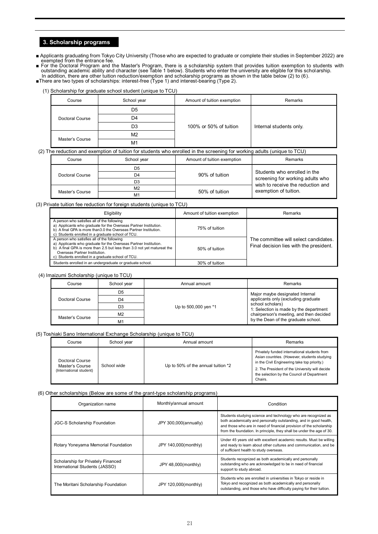### **3. Scholarship programs**

■ Applicants graduating from Tokyo City University (Those who are expected to graduate or complete their studies in September 2022) are exempted from the entrance fee.

■ For the Doctoral Program and the Master's Program, there is a scholarship system that provides tuition exemption to students with<br>outstanding academic ability and character (see Table 1 below). Students who enter the un

- ■There are two types of scholarships: interest-free (Type 1) and interest-bearing (Type 2).
	- (1) Scholarship for graduate school student (unique to TCU)

| Course          | School year    | Amount of tuition exemption | Remarks                 |
|-----------------|----------------|-----------------------------|-------------------------|
|                 | D5             |                             |                         |
| Doctoral Course | D4             | 100% or 50% of tuition      | Internal students only. |
|                 | D3             |                             |                         |
|                 | M <sub>2</sub> |                             |                         |
| Master's Course | M <sub>1</sub> |                             |                         |

#### (2) The reduction and exemption of tuition for students who enrolled in the screening for working adults (unique to TCU)

|  | Course          | School year    | Amount of tuition exemption | Remarks                                                               |  |
|--|-----------------|----------------|-----------------------------|-----------------------------------------------------------------------|--|
|  |                 | D5             |                             | Students who enrolled in the                                          |  |
|  | Doctoral Course | D4             | 90% of tuition              | screening for working adults who<br>wish to receive the reduction and |  |
|  |                 | D3             |                             |                                                                       |  |
|  | Master's Course | M <sub>2</sub> | 50% of tuition              | exemption of tuition.                                                 |  |
|  |                 | M <sub>1</sub> |                             |                                                                       |  |

#### (3) Private tuition fee reduction for foreign students (unique to TCU)

| Eligibility                                                                                                                                                                                                                                                                     | Amount of tuition exemption | Remarks                                                                          |
|---------------------------------------------------------------------------------------------------------------------------------------------------------------------------------------------------------------------------------------------------------------------------------|-----------------------------|----------------------------------------------------------------------------------|
| A person who satisfies all of the following<br>a) Applicants who graduate for the Overseas Partner Institution.<br>b) A final GPA is more than 3.0 the Overseas Partner Institution.<br>Students enrolled in a graduate school of TCU.<br>C)                                    | 75% of tuition              |                                                                                  |
| A person who satisfies all of the following<br>a) Applicants who graduate for the Overseas Partner Institution.<br>b) A final GPA is more than 2.5 but less than 3.0 not yet matureat the<br>Overseas Partner Institution.<br>c) Students enrolled in a graduate school of TCU. | 50% of tuition              | The committee will select candidates.<br>Final decision lies with the president. |
| Students enrolled in an undergraduate or graduate school.                                                                                                                                                                                                                       | 30% of tuition              |                                                                                  |

#### (4) Imaizumi Scholarship (unique to TCU)

| Course          | School year    | Annual amount        | Remarks                                                                                                                                                                             |                                 |
|-----------------|----------------|----------------------|-------------------------------------------------------------------------------------------------------------------------------------------------------------------------------------|---------------------------------|
|                 | D <sub>5</sub> | Up to 500,000 yen *1 |                                                                                                                                                                                     | Major maybe designated Internal |
| Doctoral Course | D <sub>4</sub> |                      | applicants only (excluding graduate<br>school scholars)<br>1: Selection is made by the department<br>chairperson's meeting, and then decided<br>by the Dean of the graduate school. |                                 |
|                 | D3             |                      |                                                                                                                                                                                     |                                 |
| Master's Course | M <sub>2</sub> |                      |                                                                                                                                                                                     |                                 |
|                 | M <sub>1</sub> |                      |                                                                                                                                                                                     |                                 |

#### (5) Toshiaki Sano International Exchange Scholarship (unique to TCU)

|  | Course                                                        | School year | Annual amount                      | Remarks                                                                                                                                      |
|--|---------------------------------------------------------------|-------------|------------------------------------|----------------------------------------------------------------------------------------------------------------------------------------------|
|  | Doctoral Course<br>Master's Course<br>(International student) | School wide | Up to 50% of the annual tuition *2 | Privately funded international students from<br>Asian countries. (However, students studying<br>in the Civil Engineering take top priority.) |
|  |                                                               |             |                                    | 2. The President of the University will decide<br>the selection by the Council of Department<br>Chairs.                                      |

#### (6) Other scholarships (Below are some of the grant-type scholarship programs)

| Organization name                                                    | Monthly/annual amount | Condition                                                                                                                                                                                                                                                                           |  |
|----------------------------------------------------------------------|-----------------------|-------------------------------------------------------------------------------------------------------------------------------------------------------------------------------------------------------------------------------------------------------------------------------------|--|
| <b>JGC-S Scholarship Foundation</b>                                  | JPY 300,000(annually) | Students studying science and technology who are recognized as<br>both academically and personally outstanding, and in good health,<br>and those who are in need of financial provision of the scholarship<br>from the foundation. In principle, they shall be under the age of 30. |  |
| Rotary Yoneyama Memorial Foundation                                  | JPY 140,000(monthly)  | Under 45 years old with excellent academic results. Must be willing<br>and ready to learn about other cultures and communication, and be<br>of sufficient health to study overseas.                                                                                                 |  |
| Scholarship for Privately Financed<br>International Students (JASSO) | JPY 48,000(monthly)   | Students recognized as both academically and personally<br>outstanding who are acknowledged to be in need of financial<br>support to study abroad.                                                                                                                                  |  |
| The Moritani Scholarship Foundation                                  | JPY 120,000(monthly)  | Students who are enrolled in universities in Tokyo or reside in<br>Tokyo and recognized as both academically and personally<br>outstanding, and those who have difficulty paying for their tuition.                                                                                 |  |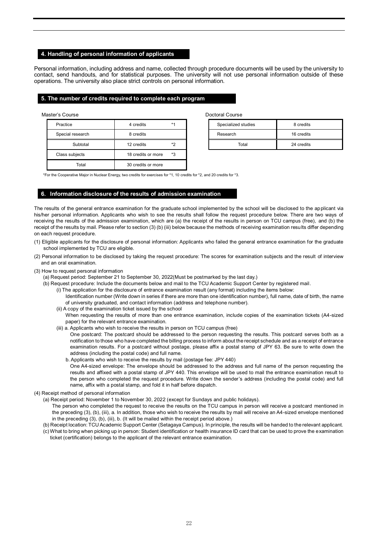#### **4. Handling of personal information of applicants**

Personal information, including address and name, collected through procedure documents will be used by the university to contact, send handouts, and for statistical purposes. The university will not use personal information outside of these operations. The university also place strict controls on personal information.

#### **5. The number of credits required to complete each program**

| Practice         | 4 credits          | $*1$ | Specialized studies | 8 credits  |
|------------------|--------------------|------|---------------------|------------|
| Special research | 8 credits          |      | Research            | 16 credits |
| Subtotal         | 12 credits         | *2   | Total               | 24 credits |
| Class subjects   | 18 credits or more | *3   |                     |            |
| Total            | 30 credits or more |      |                     |            |

Master's Course **Doctoral Course** Doctoral Course **Doctoral Course** 

| Specialized studies | 8 credits  |
|---------------------|------------|
| Research            | 16 credits |
| Total               | 24 credits |

\*For the Cooperative Major in Nuclear Energy, two credits for exercises for \*1, 10 credits for \*2, and 20 credits for \*3.

#### **6**.**Information disclosure of the results of admission examination**

The results of the general entrance examination for the graduate school implemented by the school will be disclosed to the applicant via his/her personal information. Applicants who wish to see the results shall follow the request procedure below. There are two ways of receiving the results of the admission examination, which are (a) the receipt of the results in person on TCU campus (free), and (b) the receipt of the results by mail. Please refer to section (3) (b) (iii) below because the methods of receiving examination results differ depending on each request procedure.

- (1) Eligible applicants for the disclosure of personal information: Applicants who failed the general entrance examination for the graduate school implemented by TCU are eligible.
- (2) Personal information to be disclosed by taking the request procedure: The scores for examination subjects and the result of interview and an oral examination.
- (3) How to request personal information
	- (a) Request period: September 21 to September 30, 2022(Must be postmarked by the last day.)
	- (b) Request procedure: Include the documents below and mail to the TCU Academic Support Center by registered mail.
		- (i) The application for the disclosure of entrance examination result (any format) including the items below: Identification number (Write down in series if there are more than one identification number), full name, date of birth, the name of university graduated, and contact information (address and telephone number).
		- (ii) A copy of the examination ticket issued by the school When requesting the results of more than one entrance examination, include copies of the examination tickets (A4-sized
			- paper) for the relevant entrance examination. (iii) a. Applicants who wish to receive the results in person on TCU campus (free)
				- One postcard: The postcard should be addressed to the person requesting the results. This postcard serves both as a notification to those who have completed the billing process to inform about the receipt schedule and as a receipt of entrance examination results. For a postcard without postage, please affix a postal stamp of JPY 63. Be sure to write down the address (including the postal code) and full name.
				- b. Applicants who wish to receive the results by mail (postage fee: JPY 440)
				- One A4-sized envelope: The envelope should be addressed to the address and full name of the person requesting the results and affixed with a postal stamp of JPY 440. This envelope will be used to mail the entrance examination result to the person who completed the request procedure. Write down the sender's address (including the postal code) and full name, affix with a postal stamp, and fold it in half before dispatch.
- (4) Receipt method of personal information
	- (a) Receipt period: November 1 to November 30, 2022 (except for Sundays and public holidays).
		- The person who completed the request to receive the results on the TCU campus in person will receive a postcard mentioned in the preceding (3), (b), (iii), a. In addition, those who wish to receive the results by mail will receive an A4-sized envelope mentioned in the preceding (3), (b), (iii), b. (It will be mailed within the receipt period above.)
	- (b) Receipt location: TCU Academic Support Center (Setagaya Campus). In principle, the results will be handed to the relevant applicant.
	- (c) What to bring when picking up in person: Student identification or health insurance ID card that can be used to prove the examination ticket (certification) belongs to the applicant of the relevant entrance examination.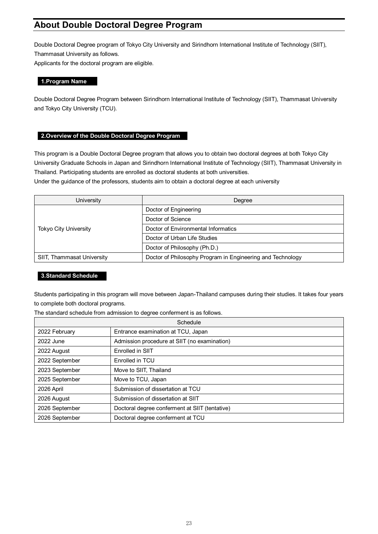## **About Double Doctoral Degree Program**

Double Doctoral Degree program of Tokyo City University and Sirindhorn International Institute of Technology (SIIT), Thammasat University as follows.

Applicants for the doctoral program are eligible.

#### **1.Program Name**

Double Doctoral Degree Program between Sirindhorn International Institute of Technology (SIIT), Thammasat University and Tokyo City University (TCU).

### **2.Overview of the Double Doctoral Degree Program**

This program is a Double Doctoral Degree program that allows you to obtain two doctoral degrees at both Tokyo City University Graduate Schools in Japan and Sirindhorn International Institute of Technology (SIIT), Thammasat University in Thailand. Participating students are enrolled as doctoral students at both universities.

Under the guidance of the professors, students aim to obtain a doctoral degree at each university

| University                   | Degree                                                     |
|------------------------------|------------------------------------------------------------|
|                              | Doctor of Engineering                                      |
|                              | Doctor of Science                                          |
| <b>Tokyo City University</b> | Doctor of Environmental Informatics                        |
|                              | Doctor of Urban Life Studies                               |
|                              | Doctor of Philosophy (Ph.D.)                               |
| SIIT, Thammasat University   | Doctor of Philosophy Program in Engineering and Technology |

#### **3.Standard Schedule**

Students participating in this program will move between Japan-Thailand campuses during their studies. It takes four years to complete both doctoral programs.

The standard schedule from admission to degree conferment is as follows.

| Schedule       |                                                |  |
|----------------|------------------------------------------------|--|
| 2022 February  | Entrance examination at TCU, Japan             |  |
| 2022 June      | Admission procedure at SIIT (no examination)   |  |
| 2022 August    | Enrolled in SIIT                               |  |
| 2022 September | Enrolled in TCU                                |  |
| 2023 September | Move to SIIT, Thailand                         |  |
| 2025 September | Move to TCU, Japan                             |  |
| 2026 April     | Submission of dissertation at TCU              |  |
| 2026 August    | Submission of dissertation at SIIT             |  |
| 2026 September | Doctoral degree conferment at SIIT (tentative) |  |
| 2026 September | Doctoral degree conferment at TCU              |  |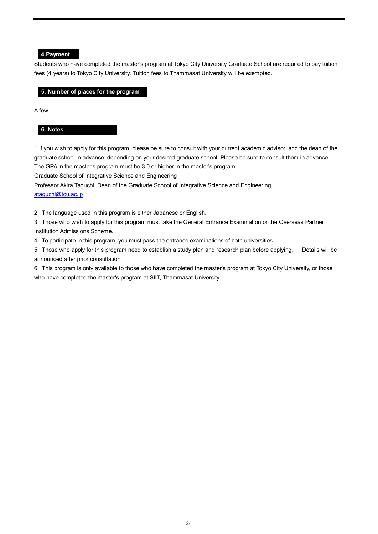#### **4.Payment**

Students who have completed the master's program at Tokyo City University Graduate School are required to pay tuition fees (4 years) to Tokyo City University. Tuition fees to Thammasat University will be exempted.

#### **5. Number of places for the program**

A few.

#### **6. Notes**

1.If you wish to apply for this program, please be sure to consult with your current academic advisor, and the dean of the graduate school in advance, depending on your desired graduate school. Please be sure to consult them in advance. The GPA in the master's program must be 3.0 or higher in the master's program.

Graduate School of Integrative Science and Engineering

Professor Akira Taguchi, Dean of the Graduate School of Integrative Science and Engineering [ataguchi@tcu.ac.jp](mailto:ataguchi@tcu.ac.jp)

2. The language used in this program is either Japanese or English.

3. Those who wish to apply for this program must take the General Entrance Examination or the Overseas Partner Institution Admissions Scheme.

4. To participate in this program, you must pass the entrance examinations of both universities.

5. Those who apply for this program need to establish a study plan and research plan before applying. Details will be announced after prior consultation.

6. This program is only available to those who have completed the master's program at Tokyo City University, or those who have completed the master's program at SIIT, Thammasat University